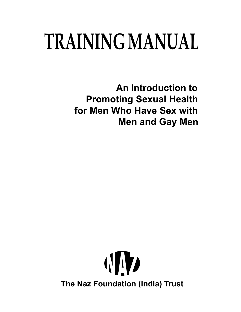# **TRAINING MANUAL**

**An Introduction to Promoting Sexual Health for Men Who Have Sex with Men and Gay Men**

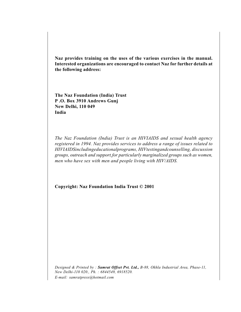**Naz provides training on the uses of the various exercises in the manual. Interested organizations are encouraged to contact Naz for further details at the following address:**

**The Naz Foundation (India) Trust P .O. Box 3910 Andrews Gunj New Delhi, 110 049 India**

*The Naz Foundation (India) Trust is an HIVIAIDS and sexual health agency registered in 1994. Naz provides services to address a range of issues related to HIVIAIDSincludingeducationalprograms, HIVtestingandcounselling, discussion groups, outreach and support,for particularly marginalized groups such as women, men who have sex with men and people living with HIV/AIDS.*

**Copyright: Naz Foundation India Trust © 2001**

*Designed & Printed by : Samrat Offset Pvt. Ltd., B-88, Okhla Industrial Area, Phase-11, New Delhi-110 020., Ph. : 6844549, 6918520. E-mail: samratpress@hotmail.com*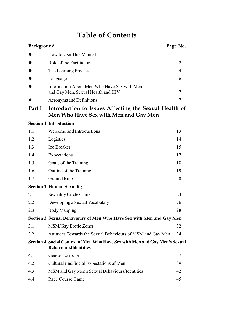| <b>Table of Contents</b>                                                                                   |                                                                                                |                |  |  |
|------------------------------------------------------------------------------------------------------------|------------------------------------------------------------------------------------------------|----------------|--|--|
| <b>Background</b><br>Page No.                                                                              |                                                                                                |                |  |  |
|                                                                                                            | How to Use This Manual                                                                         | I.             |  |  |
|                                                                                                            | Role of the Facilitator                                                                        | 2              |  |  |
|                                                                                                            | The Learning Process                                                                           | 4              |  |  |
|                                                                                                            | Language                                                                                       | 6              |  |  |
|                                                                                                            | Information About Men Who Have Sex with Men<br>and Gay Men, Sexual Health and HIV              | 7              |  |  |
|                                                                                                            | Acronyms and Definitions                                                                       | $\overline{7}$ |  |  |
| Part I                                                                                                     | Introduction to Issues Affecting the Sexual Health of<br>Men Who Have Sex with Men and Gay Men |                |  |  |
|                                                                                                            | <b>Section 1 Introduction</b>                                                                  |                |  |  |
| 1.1                                                                                                        | Welcome and Introductions                                                                      | 13             |  |  |
| 1.2                                                                                                        | Logistics                                                                                      | 14             |  |  |
| 1.3                                                                                                        | <b>Ice Breaker</b>                                                                             | 15             |  |  |
| 1.4                                                                                                        | Expectations                                                                                   | 17             |  |  |
| 1.5                                                                                                        | Goals of the Training                                                                          | 18             |  |  |
| 1.6                                                                                                        | Outline of the Training                                                                        | 19             |  |  |
| 1.7                                                                                                        | <b>Ground Rules</b>                                                                            | 20             |  |  |
|                                                                                                            | <b>Section 2 Human Sexuality</b>                                                               |                |  |  |
| 2.1                                                                                                        | <b>Sexuality Circle Game</b>                                                                   | 23             |  |  |
| 2.2                                                                                                        | Developing a Sexual Vocabulary                                                                 | 26             |  |  |
| 2.3                                                                                                        | <b>Body Mapping</b>                                                                            | 28             |  |  |
|                                                                                                            | Section 3 Sexual Behaviours of Men Who Have Sex with Men and Gay Men                           |                |  |  |
| 3.1                                                                                                        | <b>MSM/Gay Erotic Zones</b>                                                                    | 32             |  |  |
| 3.2                                                                                                        | Attitudes Towards the Sexual Behaviours of MSM and Gay Men                                     | 34             |  |  |
| Section 4 Social Context of Men Who Have Sex with Men and Gay Men's Sexual<br><b>BehavioursIldentities</b> |                                                                                                |                |  |  |
| 4.1                                                                                                        | Gender Exercise                                                                                | 37             |  |  |
| 4.2                                                                                                        | Cultural rind Social Expectations of Men                                                       | 39             |  |  |
| 4.3                                                                                                        | MSM and Gay Men's Sexual Behaviours/Identities                                                 | 42             |  |  |
| 4.4                                                                                                        | Race Course Game                                                                               | 45             |  |  |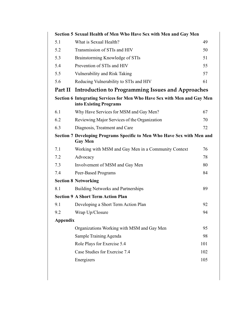| Section 5 Sexual Health of Men Who Have Sex with Men and Gay Men                                   |                                                           |     |  |  |
|----------------------------------------------------------------------------------------------------|-----------------------------------------------------------|-----|--|--|
| 5.1                                                                                                | What is Sexual Health?                                    | 49  |  |  |
| 5.2                                                                                                | Transmission of STIs and HIV                              | 50  |  |  |
| 5.3                                                                                                | Brainstorming Knowledge of STIs                           | 51  |  |  |
| 5.4                                                                                                | Prevention of STIs and HIV                                | 55  |  |  |
| 5.5                                                                                                | Vulnerability and Risk Taking                             | 57  |  |  |
| 5.6                                                                                                | Reducing Vulnerability to STIs and HIV                    | 61  |  |  |
|                                                                                                    | Part II Introduction to Programming Issues and Approaches |     |  |  |
| Section 6 Integrating Services for Men Who Have Sex with Men and Gay Men<br>into Existing Programs |                                                           |     |  |  |
| 6.1                                                                                                | Why Have Services for MSM and Gay Men?                    | 67  |  |  |
| 6.2                                                                                                | Reviewing Major Services of the Organization              | 70  |  |  |
| 6.3                                                                                                | Diagnosis, Treatment and Care                             | 72  |  |  |
| Section 7 Developing Programs Specific to Men Who Have Sex with Men and<br><b>Gay Men</b>          |                                                           |     |  |  |
| 7.1                                                                                                | Working with MSM and Gay Men in a Community Context       | 76  |  |  |
| 7.2                                                                                                | Advocacy                                                  | 78  |  |  |
| 7.3                                                                                                | Involvement of MSM and Gay Men                            | 80  |  |  |
| 7.4                                                                                                | Peer-Based Programs                                       | 84  |  |  |
|                                                                                                    | <b>Section 8 Networking</b>                               |     |  |  |
| 8.1                                                                                                | <b>Building Networks and Partnerships</b>                 | 89  |  |  |
|                                                                                                    | <b>Section 9 A Short Term Action Plan</b>                 |     |  |  |
| 9.1                                                                                                | Developing a Short Term Action Plan                       | 92  |  |  |
| 9.2                                                                                                | Wrap Up/Closure                                           | 94  |  |  |
| <b>Appendix</b>                                                                                    |                                                           |     |  |  |
|                                                                                                    | Organizations Working with MSM and Gay Men                | 95  |  |  |
|                                                                                                    | Sample Training Agenda                                    | 98  |  |  |
|                                                                                                    | Role Plays for Exercise 5.4                               | 101 |  |  |
|                                                                                                    | Case Studies for Exercise 7.4                             | 102 |  |  |
|                                                                                                    | Energizers                                                | 105 |  |  |
|                                                                                                    |                                                           |     |  |  |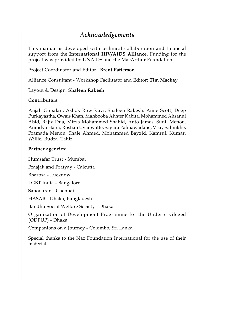### *Acknowledgements*

This manual is developed with technical collaboration and financial support from the **International HIV/AIDS Alliance**. Funding for the project was provided by UNAIDS and the MacArthur Foundation.

Project Coordinator and Editor : **Brent Patterson**

Alliance Consultant - Workshop Facilitator and Editor: **Tim Mackay**

Layout & Design: **Shaleen Rakesh**

#### **Contributors:**

Anjali Gopalan, Ashok Row Kavi, Shaleen Rakesh, Anne Scott, Deep Purkayastha, Owais Khan, Mahbooba Akhter Kabita, Mohammed Ahsanul Abid, Rajiv Dua, Mirza Mohammed Shahid, Anto James, Sunil Menon, Anindya Hajra, Roshan Uyanwatte, Sagara Palihawadane, Vijay Salunkhe, Pramada Menon, Shale Ahmed, Mohammed Bayzid, Kamrul, Kumar, Willie, Rudra, Tahir

#### **Partner agencies:**

Humsafar Trust - Mumbai

Praajak and Pratyay - Calcutta

Bharosa - Lucknow

LGBT India - Bangalore

Sahodaran - Chennai

HASAB - Dhaka, Bangladesh

Bandhu Social Welfare Society - Dhaka

Organization of Development Programme for the Underprivileged (ODPUP) - Dhaka

Companions on a Journey - Colombo, Sri Lanka

Special thanks to the Naz Foundation International for the use of their material.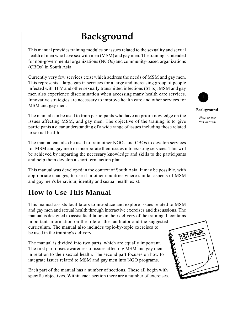# **Background**

This manual provides training modules on issues related to the sexuality and sexual health of men who have sex with men (MSM) and gay men. The training is intended for non-governmental organizations (NGOs) and community-based organizations (CBOs) in South Asia.

Currently very few services exist which address the needs of MSM and gay men. This represents a large gap in services for a large and increasing group of people infected with HIV and other sexually transmitted infections (STIs). MSM and gay men also experience discrimination when accessing many health care services. Innovative strategies are necessary to improve health care and other services for MSM and gay men.

The manual can be used to train participants who have no prior knowledge on the issues affecting MSM, and gay men. The objective of the training is to give participants a clear understanding of a wide range of issues including those related to sexual health.

The manual can also be used to train other NGOs and CBOs to develop services for MSM and gay men or incorporate their issues into existing services. This will be achieved by imparting the necessary knowledge and skills to the participants and help them develop a short term action plan.

This manual was developed in the context of South Asia. It may be possible, with appropriate changes, to use it in other countries where similar aspects of MSM and gay men's behaviour, identity and sexual health exist.

# **How to Use This Manual**

This manual assists facilitators to introduce and explore issues related to MSM and gay men and sexual health through interactive exercises and discussions. The manual is designed to assist facilitators in their delivery of the training. It contains important information on the role of the facilitator and the suggested curriculum. The manual also includes topic-by-topic exercises to be used in the training's delivery.

The manual is divided into two parts, which are equally important. The first part raises awareness of issues affecting MSM and gay men in relation to their sexual health. The second part focuses on how to integrate issues related to MSM and gay men into NGO programs.

Each part of the manual has a number of sections. These all begin with specific objectives. Within each section there are a number of exercises.





#### **Background**

*How to use this manual*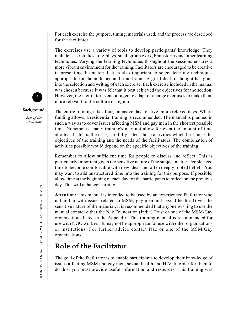For each exercise the purpose, timing, materials used, and the process are described for the facilitator.

The exercises use a variety of tools to develop participants' knowledge. They include: case studies, role-plays, small group work, brainstorms and other learning techniques. Varying the learning techniques throughout the sessions ensures a more vibrant environment for the training. Facilitators are encouraged to be creative in presenting the material. It is also important to select learning techniques appropriate for the audience and time frame. A great deal of thought has gone into the selection and writing of each exercise. Each exercise included in the manual was chosen because it was felt that it best achieved the objectives for the section. However, the facilitator is encouraged to adapt or change exercises to make them more relevant to the culture or region.

The entire training takes four, intensive days or five, more relaxed days. Where funding allows, a residential training is recommended. The manual is planned in such a way as to cover issues affecting MSM and gay men in the shortest possible time. Nonetheless many training's may not allow for even the amount of time allotted. If this is the case, carefully select those activities which best meet the objectives of the training and the needs of the facilitators. The combination of activities possible would depend on the specific objectives of the training.

Remember to allow sufficient time for people to discuss and reflect. This is particularly important given the sensitive nature of the subject matter. People need time to become comfortable with new ideas and often deeply rooted beliefs. You may want to add unstructured time into the training for this purpose. If possible, allow time at the beginning of each day for the participants to reflect on the previous day. This will enhance learning.

**Attention:** This manual is intended to be used by an experienced facilitator who is familiar with issues related to MSM, gay men and sexual health. Given the sensitive nature of the material, it is recommended that anyone wishing to use the manual contact either the Naz Foundation (India) Trust or one of the MSM/Gay organizations listed in the Appendix. This training manual is recommended for use with NGO workers. It may not be appropriate for use with other organizations or institutions. For further advice contact Naz or one of the MSM/Gay organizations.

# **Role of the Facilitator**

The goal of the facilitator is to enable participants to develop their knowledge of issues affecting MSM and gay men, sexual health and HIV. In order for them to do this, you must provide useful information and resources. This training was





#### **Background**

*Role of the Facilitator*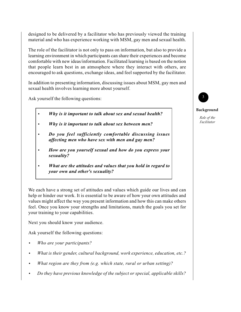designed to be delivered by a facilitator who has previously viewed the training material and who has experience working with MSM, gay men and sexual health.

The role of the facilitator is not only to pass on information, but also to provide a learning environment in which participants can share their experiences and become comfortable with new ideas/information. Facilitated learning is based on the notion that people learn best in an atmosphere where they interact with others, are encouraged to ask questions, exchange ideas, and feel supported by the facilitator.

In addition to presenting information, discussing issues about MSM, gay men and sexual health involves learning more about yourself.

Ask yourself the following questions:

- **•** *Why is it important to talk about sex and sexual health?*
- **•** *Why is it important to talk about sex between men?*
- **•** *Do you feel sufficiently comfortable discussing issues affecting men who have sex with men and gay men?*
- **•** *How are you yourself sexual and how do you express your sexuality?*
- **•** *What are the attitudes and values that you hold in regard to your own and other's sexuality?*

We each have a strong set of attitudes and values which guide our lives and can help or hinder our work. It is essential to be aware of how your own attitudes and values might affect the way you present information and how this can make others feel. Once you know your strengths and limitations, match the goals you set for your training to your capabilities.

Next you should know your audience.

Ask yourself the following questions:

- **•** *Who are your participants?*
- **•** *What is their gender, cultural background, work experience, education, etc.?*
- **•** *What region are they from (e.g. which state, rural or urban setting)?*
- **•** *Do they have previous knowledge of the subject or special, applicable skills?*



#### **Background**

*Role of the Facilitator*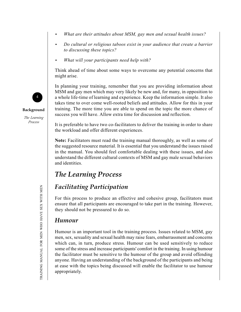- **•** *What are their attitudes about MSM, gay men and sexual health issues?*
- **•** *Do cultural or religious taboos exist in your audience that create a barrier to discussing these topics?*
- **•** *What will your participants need help with?*

Think ahead of time about some ways to overcome any potential concerns that might arise.

In planning your training, remember that you are providing information about MSM and gay men which may very likely be new and, for many, in opposition to a whole life-time of learning and experience. Keep the information simple. It also takes time to over come well-rooted beliefs and attitudes. Allow for this in your training. The more time you are able to spend on the topic the more chance of success you will have. Allow extra time for discussion and reflection.

It is preferable to have two co-facilitators to deliver the training in order to share the workload and offer different experiences.

**Note:** Facilitators must read the training manual thoroughly, as well as some of the suggested resource material. It is essential that you understand the issues raised in the manual. You should feel comfortable dealing with these issues, and also understand the different cultural contexts of MSM and gay male sexual behaviors and identities.

# *The Learning Process*

# *Facilitating Participation*

For this process to produce an effective and cohesive group, facilitators must ensure that all participants are encouraged to take part in the training. However, they should not be pressured to do so.

### *Humour*

Humour is an important tool in the training process. Issues related to MSM, gay men, sex, sexuality and sexual health may raise fears, embarrassment and concerns which can, in turn, produce stress. Humour can be used sensitively to reduce some of the stress and increase participants' comfort in the training. In using humour the facilitator must be sensitive to the humour of the group and avoid offending anyone. Having an understanding of the background of the participants and being at ease with the topics being discussed will enable the facilitator to use humour appropriately.



**Background**

*The Learning Process*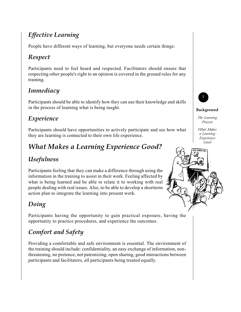# *Effective Learning*

People have different ways of learning, but everyone needs certain things:

# *Respect*

Participants need to feel heard and respected. Facilitators should ensure that respecting other people's right to an opinion is covered in the ground rules for any training.

# *Immediacy*

Participants should be able to identify how they can use their knowledge and skills in the process of learning what is being taught.

# *Experience*

Participants should have opportunities to actively participate and see how what they are learning is connected to their own life experience.

# *What Makes a Learning Experience Good?*

# *Usefulness*

Participants feeling that they can make a difference through using the information in the training to assist in their work. Feeling affected by what is being learned and be able to relate it to working with real people dealing with real issues. Also, to be able to develop a shortterm action plan to integrate the learning into present work.

# *Doing*

Participants having the opportunity to gain practical exposure, having the opportunity to practice procedures, and experience the outcomes.

# *Comfort and Safety*

Providing a comfortable and safe environment is essential. The environment of the training should include: confidentiality, an easy exchange of information, nonthreatening, no pretence, not patronizing, open sharing, good interactions between participants and facilitators, all participants being treated equally.



#### **Background**

*The Learning Process*

*What Makes a Learning Experience Good*

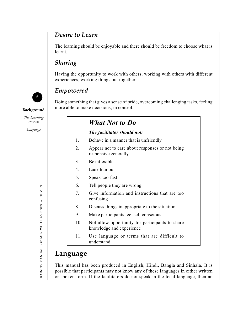### *Desire to Learn*

The learning should be enjoyable and there should be freedom to choose what is learnt.

### *Sharing*

Having the opportunity to work with others, working with others with different experiences, working things out together.



### *Empowered*

Doing something that gives a sense of pride, overcoming challenging tasks, feeling **Background** more able to make decisions, in control.

# *What Not to Do*

#### *The facilitator should not:*

- 1. Behave in a manner that is unfriendly
- 2. Appear not to care about responses or not being responsive generally
- 3. Be inflexible
- 4. Lack humour
- 5. Speak too fast
- 6. Tell people they are wrong
- 7. Give information and instructions that are too confusing
- 8. Discuss things inappropriate to the situation
- 9. Make participants feel self conscious
- 10. Not allow opportunity for participants to share knowledge and experience
- 11. Use language or terms that are difficult to understand

# **Language**

This manual has been produced in English, Hindi, Bangla and Sinhala. It is possible that participants may not know any of these languages in either written or spoken form. If the facilitators do not speak in the local language, then an

*The Learning Process*

*Language*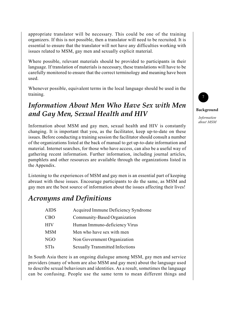appropriate translator will be necessary. This could be one of the training organizers. If this is not possible, then a translator will need to be recruited. It is essential to ensure that the translator will not have any difficulties working with issues related to MSM, gay men and sexually explicit material.

Where possible, relevant materials should be provided to participants in their language. If translation of materials is necessary, these translations will have to be carefully monitored to ensure that the correct terminology and meaning have been used.

Whenever possible, equivalent terms in the local language should be used in the training.

# *Information About Men Who Have Sex with Men and Gay Men, Sexual Health and HIV*

Information about MSM and gay men, sexual health and HIV is constantly changing. It is important that you, as the facilitator, keep up-to-date on these issues. Before conducting a training session the facilitator should consult a number of the organizations listed at the back of manual to get up-to-date information and material. Internet searches, for those who have access, can also be a useful way of gathering recent information. Further information, including journal articles, pamphlets and other resources are available through the organizations listed in the Appendix.

Listening to the experiences of MSM and gay men is an essential part of keeping abreast with these issues. Encourage participants to do the same, as MSM and gay men are the best source of information about the issues affecting their lives!

# *Acronyms and Definitions*

| <b>AIDS</b> | Acquired Immune Deficiency Syndrome    |
|-------------|----------------------------------------|
| CBO         | Community-Based Organization           |
| HIV         | Human Immuno-deficiency Virus          |
| <b>MSM</b>  | Men who have sex with men              |
| NGO         | Non Government Organization            |
| <b>STIs</b> | <b>Sexually Transmitted Infections</b> |
|             |                                        |

In South Asia there is an ongoing dialogue among MSM, gay men and service providers (many of whom are also MSM and gay men) about the language used to describe sexual behaviours and identities. As a result, sometimes the language can be confusing. People use the same term to mean different things and



#### **Background**

*Information about MSM*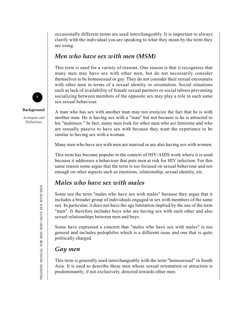occasionally different terms are used interchangeably. It is important to always clarify with the individual you are speaking to what they mean by the term they are using.

### *Men who have sex with men (MSM)*

This term is used for a variety of reasons. One reason is that it recognizes that many men may have sex with other men, but do not necessarily consider themselves to be homosexual or gay. They do not consider their sexual encounters with other men in terms of a sexual identity or orientation. Social situations such as lack of availability of female sexual partners or social taboos preventing socializing between members of the opposite sex may play a role in such same sex sexual behaviour.

A man who has sex with another man may not eroticize the fact that he is with another man. He is having sex with a "man" but not because is he is attracted to his "maleness." In fact, many men look for other men who act feminine and who are sexually passive to have sex with because they want the experience to be similar to having sex with a woman.

Many men who have sex with men are married or are also having sex with women.

This term has become popular in the context of HIV/AIDS work where it is used because it addresses a behaviour that puts men at risk for HIV infection. For this same reason some argue that the term is too focused on sexual behaviour and not enough on other aspects such as emotions, relationship, sexual identity, etc.

### *Males who have sex with males*

Some use the term "males who have sex with males" because they argue that it includes a broader group of individuals engaged in sex with members of the same sex. In particular, it does not have the age limitation implied by the use of the term "men". It therefore includes boys who are having sex with each other and also sexual relationships between men and boys.

Some have expressed a concern that "males who have sex with males" is too general and includes pedophiles which is a different issue and one that is quite politically charged.

### *Gay men*

This term is generally used interchangeably with the term "homosexual" in South Asia. It is used to describe those men whose sexual orientation or attraction is predominantly, if not exclusively, directed towards other men.





#### **Background**

*Acronyms and Definitions*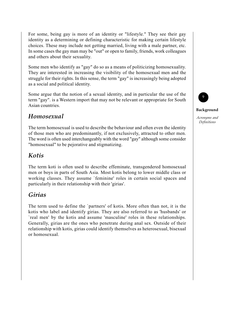For some, being gay is more of an identity or "lifestyle." They see their gay identity as a determining or defining characteristic for making certain lifestyle choices. These may include not getting married, living with a male partner, etc. In some cases the gay man may be "out" or open to family, friends, work colleagues and others about their sexuality.

Some men who identify as "gay" do so as a means of politicizing homosexuality. They are interested in increasing the visibility of the homosexual men and the struggle for their rights. In this sense, the term "gay" is increasingly being adopted as a social and political identity.

Some argue that the notion of a sexual identity, and in particular the use of the term "gay". is a Western import that may not be relevant or appropriate for South Asian countries.

### *Homosexual*

The term homosexual is used to describe the behaviour and often even the identity of those men who are predominantly, if not exclusively, attracted to other men. The word is often used interchangeably with the word "gay" although some consider "homosexual" to be pejorative and stigmatizing.

### *Kotis*

The term koti is often used to describe effeminate, transgendered homosexual men or boys in parts of South Asia. Most kotis belong to lower middle class or working classes. They assume `feminine' roles in certain social spaces and particularly in their relationship with their 'girias'.

# *Girias*

The term used to define the `partners' of kotis. More often than not, it is the kotis who label and identify girias. They are also referred to as 'husbands' or `real men' by the kotis and assume 'masculine' roles in these relationships. Generally, girias are the ones who penetrate during anal sex. Outside of their relationship with kotis, girias could identify themselves as heterosexual, bisexual or homosexual.



#### **Background**

*Acronyms and Definitions*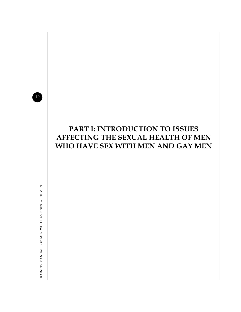10

# **PART I: INTRODUCTION TO ISSUES AFFECTING THE SEXUAL HEALTH OF MEN WHO HAVE SEX WITH MEN AND GAY MEN**

TRAINING MANUAL FOR MEN WHO HAVE SEX WITH MEN TRAINING MANUAL FOR MEN WHO HAVE SEX WITH MEN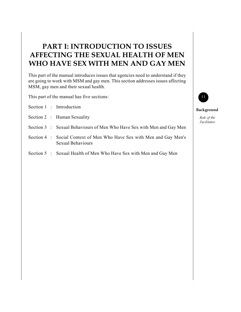# **PART I: INTRODUCTION TO ISSUES AFFECTING THE SEXUAL HEALTH OF MEN WHO HAVE SEX WITH MEN AND GAY MEN**

This part of the manual introduces issues that agencies need to understand if they are going to work with MSM and gay men. This section addresses issues affecting MSM, gay men and their sexual health.

This part of the manual has five sections:

- Section 1 : Introduction
- Section 2 : Human Sexuality
- Section 3 : Sexual Behaviours of Men Who Have Sex with Men and Gay Men
- Section 4 : Social Context of Men Who Have Sex with Men and Gay Men's Sexual Behaviours
- Section 5 : Sexual Health of Men Who Have Sex with Men and Gay Men



#### **Background**

*Role of the Facilitator*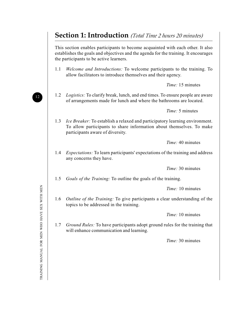# **Section 1: Introduction** *(Total Time 2 hours 20 minutes)*

This section enables participants to become acquainted with each other. It also establishes the goals and objectives and the agenda for the training. It encourages the participants to be active learners.

1.1 *Welcome and Introductions:* To welcome participants to the training. To allow facilitators to introduce themselves and their agency.

*Time:* 15 minutes

1.2 *Logistics:* To clarify break, lunch, and end times. To ensure people are aware of arrangements made for lunch and where the bathrooms are located.

*Time:* 5 minutes

1.3 *Ice Breaker:* To establish a relaxed and participatory learning environment. To allow participants to share information about themselves. To make participants aware of diversity.

*Time:* 40 minutes

1.4 *Expectations:* To learn participants' expectations of the training and address any concerns they have.

*Time:* 30 minutes

1.5 *Goals of the Training:* To outline the goals of the training.

*Time:* 10 minutes

1.6 *Outline of the Training:* To give participants a clear understanding of the topics to be addressed in the training.

*Time:* 10 minutes

1.7 *Ground Rules:* To have participants adopt ground rules for the training that will enhance communication and learning.

*Time:* 30 minutes

12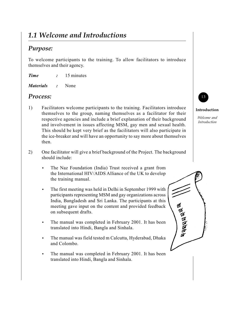# *1.1 Welcome and Introductions*

### *Purpose:*

To welcome participants to the training. To allow facilitators to introduce themselves and their agency.

- *Time :* 15 minutes
- *Materials :* None

### *Process:*

- 1) Facilitators welcome participants to the training. Facilitators introduce themselves to the group, naming themselves as a facilitator for their respective agencies and include a brief explanation of their background and involvement in issues affecting MSM, gay men and sexual health. This should be kept very brief as the facilitators will also participate in the ice-breaker and will have an opportunity to say more about themselves then.
- 2) One facilitator will give a brief background of the Project. The background should include:
	- **•** The Naz Foundation (India) Trust received a grant from the International HIV/AIDS Alliance of the UK to develop the training manual.
	- **•** The first meeting was held in Delhi in September 1999 with participants representing MSM and gay organizations across India, Bangladesh and Sri Lanka. The participants at this meeting gave input on the content and provided feedback on subsequent drafts.
	- **•** The manual was completed in February 2001. It has been translated into Hindi, Bangla and Sinhala.
	- **•** The manual was field tested m Calcutta, Hyderabad, Dhaka and Colombo.
	- **•** The manual was completed in February 2001. It has been translated into Hindi, Bangla and Sinhala.



#### **Introduction**

*Welcome and Introduction*

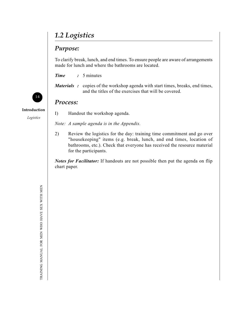# *1.2 Logistics*

### *Purpose:*

To clarify break, lunch, and end times. To ensure people are aware of arrangements made for lunch and where the bathrooms are located.

*Time :* 5 minutes

*Materials* : copies of the workshop agenda with start times, breaks, end times, and the titles of the exercises that will be covered.

### *Process:*

**Introduction**

14

*Logistics*

*Note: A sample agenda is in the Appendix.*

I) Handout the workshop agenda.

2) Review the logistics for the day: training time commitment and go over "housekeeping" items (e.g. break, lunch, and end times, location of bathrooms, etc.). Check that everyone has received the resource material for the participants.

*Notes for Facilitator:* If handouts are not possible then put the agenda on flip chart paper.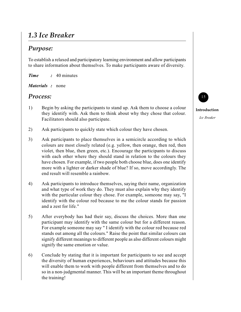# *1.3 Ice Breaker*

### *Purpose:*

To establish a relaxed and participatory learning environment and allow participants to share information about themselves. To make participants aware of diversity.

*Time :* 40 minutes

*Materials :* none

### *Process:*

- 1) Begin by asking the participants to stand up. Ask them to choose a colour they identify with. Ask them to think about why they chose that colour. Facilitators should also participate.
- 2) Ask participants to quickly state which colour they have chosen.
- 3) Ask participants to place themselves in a semicircle according to which colours are most closely related (e.g. yellow, then orange, then red, then violet, then blue, then green, etc.). Encourage the participants to discuss with each other where they should stand in relation to the colours they have chosen. For example, if two people both choose blue, does one identify more with a lighter or darker shade of blue? If so, move accordingly. The end result will resemble a rainbow.
- 4) Ask participants to introduce themselves, saying their name, organization and what type of work they do. They must also explain why they identify with the particular colour they chose. For example, someone may say, "I identify with the colour red because to me the colour stands for passion and a zest for life."
- 5) After everybody has had their say, discuss the choices. More than one participant may identify with the same colour but for a different reason. For example someone may say " I identify with the colour red because red stands out among all the colours." Raise the point that similar colours can signify different meanings to different people as also different colours might signify the same emotion or value.
- 6) Conclude by stating that it is important for participants to see and accept the diversity of human experiences, behaviours and attitudes because this will enable them to work with people different from themselves and to do so in a non-judgmental manner. This will be an important theme throughout the training!



**Introduction**

*Ice Breaker*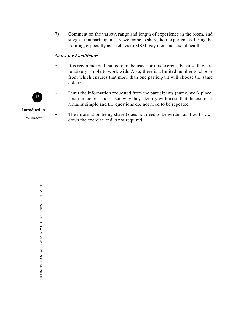7) Comment on the variety, range and length of experience in the room, and suggest that participants are welcome to share their experiences during the training, especially as it relates to MSM, gay men and sexual health.

#### *Notes for Facilitator:*

- **•** It is recommended that colours be used for this exercise because they are relatively simple to work with. Also, there is a limited number to choose from which ensures that more than one participant will choose the same colour.
- **•** Limit the information requested from the participants (name, work place, position, colour and reason why they identify with it) so that the exercise remains simple and the questions do, not need to be repeated.
	- **•** The information being shared does not need to be written as it will slow down the exercise and is not required.



**Introduction**

*Ice Breaker*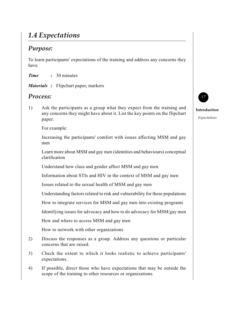# *1.4 Expectations*

### *Purpose:*

To learn participants' expectations of the training and address any concerns they have.

*Time :* 30 minutes

*Materials :* Flipchart paper, markers

### *Process:*

1) Ask the participants as a group what they expect from the training and any concerns they might have about it. List the key points on the flipchart paper.

For example:

Increasing the participants' comfort with issues affecting MSM and gay men

Learn more about MSM and gay men (identities and behaviours) conceptual clarification

Understand how class and gender affect MSM and gay men

Information about STIs and HIV in the context of MSM and gay men

Issues related to the sexual health of MSM and gay men

Understanding factors related to risk and vulnerability for these populations

How to integrate services for MSM and gay men into existing programs

Identifying issues for advocacy and how to do advocacy for MSM/gay men

How and where to access MSM and gay men

How to network with other organizations

- 2) Discuss the responses as a group. Address any questions or particular concerns that are raised.
- 3) Check the extent to which it looks realistic to achieve participants' expectations.
- 4) If possible, direct those who have expectations that may be outside the scope of the training to other resources or organizations.



#### **Introduction** *Expectations*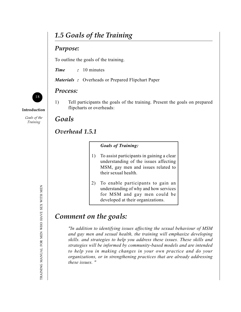# *1.5 Goals of the Training*

### *Purpose:*

To outline the goals of the training.

*Time :* 10 minutes

*Materials :* Overheads or Prepared Flipchart Paper

#### *Process:*

1) Tell participants the goals of the training. Present the goals on prepared flipcharts or overheads:

### *Goals*

### *Overhead 1.5.1*

#### *Goals of Training:*

- 1) To assist participants in gaining a clear understanding of the issues affecting MSM, gay men and issues related to their sexual health.
- 2) To enable participants to gain an understanding of why and how services for MSM and gay men could be developed at their organizations.

# *Comment on the goals:*

*"In addition to identifying issues affecting the sexual behaviour of MSM and gay men and sexual health, the training will emphasize developing skills. and strategies to help you address these issues. These skills and strategies will be informed by community-based models and are intended to help you in making changes in your own practice and do your organizations, or in strengthening practices that are already addressing these issues. "*





**Introduction**

*Goals of the Training*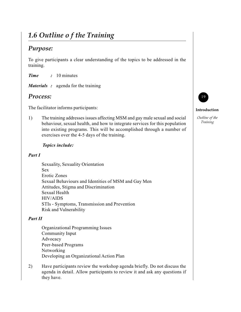# *1.6 Outline o f the Training*

### *Purpose:*

To give participants a clear understanding of the topics to be addressed in the training.

*Time :* 10 minutes

*Materials :* agenda for the training

### *Process:*

The facilitator informs participants:

1) The training addresses issues affecting MSM and gay male sexual and social behaviour, sexual health, and how to integrate services for this population into existing programs. This will be accomplished through a number of exercises over the 4-5 days of the training.

#### *Topics include:*

#### *Part I*

Sexuality, Sexuality Orientation Sex Erotic Zones Sexual Behaviours and Identities of MSM and Gay Men Attitudes, Stigma and Discrimination Sexual Health HIV/AIDS STIs - Symptoms, Transmission and Prevention Risk and Vulnerability

#### *Part II*

Organizational Programming Issues Community Input Advocacy Peer-based Programs Networking Developing an Organizational Action Plan

2) Have participants review the workshop agenda briefly. Do not discuss the agenda in detail. Allow participants to review it and ask any questions if they have.



#### **Introduction**

*Outline of the Training*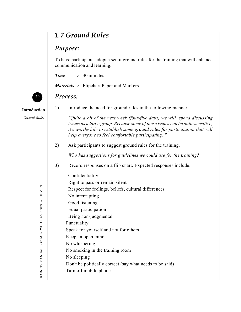# *1.7 Ground Rules*

# *Purpose:*

To have participants adopt a set of ground rules for the training that will enhance communication and learning.

| <b>Time</b> | 30 minutes |
|-------------|------------|
|-------------|------------|

*Materials :* Flipchart Paper and Markers

## *Process:*

**Introduction**

20

*Ground Rules*

| 1) | Introduce the need for ground rules in the following manner:                                                                                                                                                                                                                                 |
|----|----------------------------------------------------------------------------------------------------------------------------------------------------------------------------------------------------------------------------------------------------------------------------------------------|
|    | "Quite a bit of the next week (four-five days) we will .spend discussing<br>issues as a large group. Because some of these issues can be quite sensitive,<br>it's worthwhile to establish some ground rules for participation that will<br>help everyone to feel comfortable participating." |
| 2) | Ask participants to suggest ground rules for the training.                                                                                                                                                                                                                                   |
|    | Who has suggestions for guidelines we could use for the training?                                                                                                                                                                                                                            |
| 3) | Record responses on a flip chart. Expected responses include:                                                                                                                                                                                                                                |
|    | Confidentiality                                                                                                                                                                                                                                                                              |
|    | Right to pass or remain silent                                                                                                                                                                                                                                                               |
|    | Respect for feelings, beliefs, cultural differences                                                                                                                                                                                                                                          |
|    | No interrupting                                                                                                                                                                                                                                                                              |
|    | Good listening                                                                                                                                                                                                                                                                               |
|    | Equal participation                                                                                                                                                                                                                                                                          |
|    | Being non-judgmental                                                                                                                                                                                                                                                                         |
|    | Punctuality                                                                                                                                                                                                                                                                                  |
|    | Speak for yourself and not for others                                                                                                                                                                                                                                                        |
|    | Keep an open mind                                                                                                                                                                                                                                                                            |
|    | No whispering                                                                                                                                                                                                                                                                                |
|    | No smoking in the training room                                                                                                                                                                                                                                                              |
|    | No sleeping                                                                                                                                                                                                                                                                                  |
|    | Don't be politically correct (say what needs to be said)                                                                                                                                                                                                                                     |
|    | Turn off mobile phones                                                                                                                                                                                                                                                                       |
|    |                                                                                                                                                                                                                                                                                              |

TRAINING MANUAL FOR MEN WHO HAVE SEX WITH MEN TRAINING MANUAL FOR MEN WHO HAVE SEX WITH MEN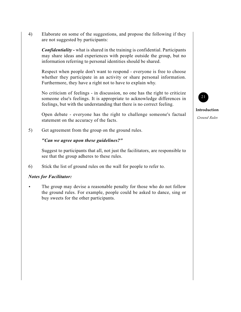4) Elaborate on some of the suggestions, and propose the following if they are not suggested by participants:

*Confidentiality -* what is shared in the training is confidential. Participants may share ideas and experiences with people outside the group, but no information referring to personal identities should be shared.

Respect when people don't want to respond - everyone is free to choose whether they participate in an activity or share personal information. Furthermore, they have a right not to have to explain why.

No criticism of feelings - in discussion, no one has the right to criticize someone else's feelings. It is appropriate to acknowledge differences in feelings, but with the understanding that there is no correct feeling.

Open debate - everyone has the right to challenge someone's factual statement on the accuracy of the facts.

5) Get agreement from the group on the ground rules.

#### *"Can we agree upon these guidelines?"*

Suggest to participants that all, not just the facilitators, are responsible to see that the group adheres to these rules.

6) Stick the list of ground rules on the wall for people to refer to.

#### *Notes for Facilitator:*

The group may devise a reasonable penalty for those who do not follow the ground rules. For example, people could be asked to dance, sing or buy sweets for the other participants.



**Introduction**

*Ground Rules*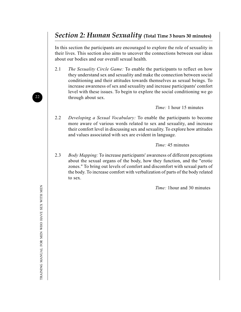# *Section 2: Human Sexuality* **(Total Time 3 hours 30 minutes)**

In this section the participants are encouraged to explore the role of sexuality in their lives. This section also aims to uncover the connections between our ideas about our bodies and our overall sexual health.

2.1 *The Sexuality Circle Game:* To enable the participants to reflect on how they understand sex and sexuality and make the connection between social conditioning and their attitudes towards themselves as sexual beings. To increase awareness of sex and sexuality and increase participants' comfort level with these issues. To begin to explore the social conditioning we go through about sex.

*Time:* 1 hour 15 minutes

2.2 *Developing a Sexual Vocabulary:* To enable the participants to become more aware of various words related to sex and sexuality, and increase their comfort level in discussing sex and sexuality. To explore how attitudes and values associated with sex are evident in language.

#### *Time:* 45 minutes

2.3 *Body Mapping:* To increase participants' awareness of different perceptions about the sexual organs of the body, how they function, and the "erotic zones." To bring out levels of comfort and discomfort with sexual parts of the body. To increase comfort with verbalization of parts of the body related to sex.

*Time:* 1hour and 30 minutes

22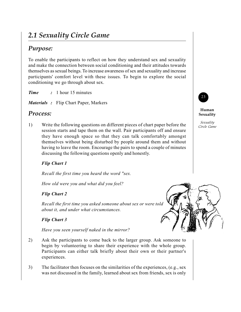# *2.1 Sexuality Circle Game*

### *Purpose:*

To enable the participants to reflect on how they understand sex and sexuality and make the connection between social conditioning and their attitudes towards themselves as sexual beings. To increase awareness of sex and sexuality and increase participants' comfort level with these issues. To begin to explore the social conditioning we go through about sex.

*Time :* 1 hour 15 minutes

*Materials :* Flip Chart Paper, Markers

### *Process:*

1) Write the following questions on different pieces of chart paper before the session starts and tape them on the wall. Pair participants off and ensure they have enough space so that they can talk comfortably amongst themselves without being disturbed by people around them and without having to leave the room. Encourage the pairs to spend a couple of minutes discussing the following questions openly and honestly.

#### *Flip Chart 1*

*Recall the first time you heard the word "sex.*

*How old were you and what did you feel?*

#### *Flip Chart 2*

*Recall the first time you asked someone about sex or were told about it, and under what circumstances.*

#### *Flip Chart 3*

*Have you seen yourself naked in the mirror?*

- 2) Ask the participants to come back to the larger group. Ask someone to begin by volunteering to share their experience with the whole group. Participants can either talk briefly about their own or their partner's experiences.
- 3) The facilitator then focuses on the similarities of the experiences, (e.g., sex was not discussed in the family, learned about sex from friends, sex is only



#### **Human Sexuality**

*Sexuality Circle Game*

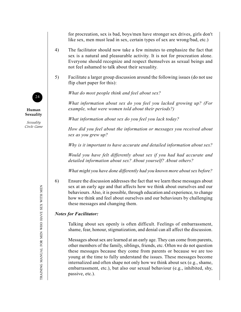for procreation, sex is bad, boys/men have stronger sex drives, girls don't like sex, men must lead in sex, certain types of sex are wrong/bad, etc.)

- 4) The facilitator should now take a few minutes to emphasize the fact that sex is a natural and pleasurable activity. It is not for procreation alone. Everyone should recognize and respect themselves as sexual beings and not feel ashamed to talk about their sexuality.
- 5) Facilitate a larger group discussion around the following issues (do not use flip chart paper for this):

*What do most people think and feel about sex?*

*What information about sex do you feel you lacked growing up? (For example, what were women told about their periods?)*

*What information about sex do you feel you lack today?*

*How did you feel about the information or messages you received about sex as you grew up?*

*Why is it important to have accurate and detailed information about sex?*

*Would you have felt differently about sex if you had had accurate and detailed information about sex? About yourself? About others?*

*What might you have done differently had you known more about sex before?*

6) Ensure the discussion addresses the fact that we learn these messages about sex at an early age and that affects how we think about ourselves and our behaviours. Also, it is possible, through education and experience, to change how we think and feel about ourselves and our behaviours by challenging these messages and changing them.

#### *Notes for Facilitator:*

Talking about sex openly is often difficult. Feelings of embarrassment, shame, fear, honour, stigmatization, and denial can all affect the discussion.

Messages about sex are learned at an early age. They can come from parents, other members of the family, siblings, friends, etc. Often we do not question these messages because they come from parents or because we are too young at the time to fully understand the issues. These messages become internalized and often shape not only how we think about sex (e.g., shame, embarrassment, etc.), but also our sexual behaviour (e.g., inhibited, shy, passive, etc.).



**Human Sexuality**

*Sexuality Circle Game*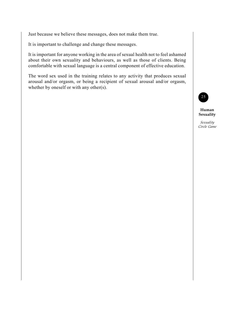Just because we believe these messages, does not make them true.

It is important to challenge and change these messages.

It is important for anyone working in the area of sexual health not to feel ashamed about their own sexuality and behaviours, as well as those of clients. Being comfortable with sexual language is a central component of effective education.

The word sex used in the training relates to any activity that produces sexual arousal and/or orgasm, or being a recipient of sexual arousal and/or orgasm, whether by oneself or with any other(s).



**Human Sexuality**

*Sexuality Circle Game*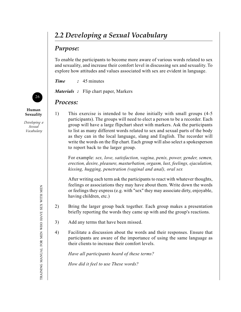# *2.2 Developing a Sexual Vocabulary*

### *Purpose:*

To enable the participants to become more aware of various words related to sex and sexuality, and increase their comfort level in discussing sex and sexuality. To explore how attitudes and values associated with sex are evident in language.

*Time :* 45 minutes

*Materials :* Flip chart paper, Markers

### *Process:*

**Human Sexuality**

26

*Developing a Sexual Vocabulary*

1) This exercise is intended to be done initially with small groups (4-5 participants). The groups will need to elect a person to be a recorder. Each group will have a large flipchart sheet with markers. Ask the participants to list as many different words related to sex and sexual parts of the body as they can in the local language, slang and English. The recorder will write the words on the flip chart. Each group will also select a spokesperson to report back to the larger group.

For example: *sex, love, satisfaction, vagina, penis, power, gender, semen, erection, desire, pleasure, masturbation, orgasm, lust, feelings, ejaculation, kissing, hugging, penetration (vaginal and anal), oral sex*

After writing each term ask the participants to react with whatever thoughts, feelings or associations they may have about them. Write down the words or feelings they express (e.g. with "sex" they may associate dirty, enjoyable, having children, etc.)

- 2) Bring the larger group back together. Each group makes a presentation briefly reporting the words they came up with and the group's reactions.
- 3) Add any terms that have been missed.
- 4) Facilitate a discussion about the words and their responses. Ensure that participants are aware of the importance of using the same language as their clients to increase their comfort levels.

*Have all participants heard of these terms?*

*How did it feel to use These words?*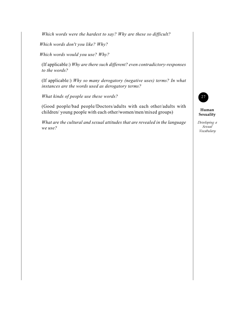*Which words were the hardest to say? Why are these so difficult?*

*Which words don't you like? Why?*

*Which words would you use? Why?*

(If applicable:) *Why are there such different? even contradictory-responses to the words?*

(If applicable:) *Why so many derogatory (negative uses) terms? In what instances are the words used as derogatory terms?*

*What kinds of people use these words?*

(Good people/bad people/Doctors/adults with each other/adults with children/ young people with each other/women/men/mixed groups)

*What are the cultural and sexual attitudes that are revealed in the language we use?*

27

**Human Sexuality**

*Developing a Sexual Vocabulary*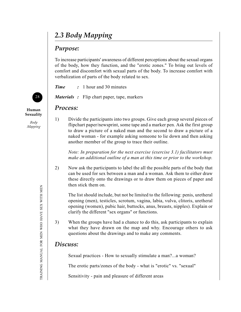# *2.3 Body Mapping*

### *Purpose:*

To increase participants' awareness of different perceptions about the sexual organs of the body, how they function, and the "erotic zones." To bring out levels of comfort and discomfort with sexual parts of the body. To increase comfort with verbalization of parts of the body related to sex.

*Time :* 1 hour and 30 minutes

*Materials :* Flip chart paper, tape, markers

### *Process:*

1) Divide the participants into two groups. Give each group several pieces of flipchart paper/newsprint, some tape and a marker pen. Ask the first group to draw a picture of a naked man and the second to draw a picture of a naked woman - for example asking someone to lie down and then asking another member of the group to trace their outline.

> *Note: In preparation for the next exercise (exercise 3.1) facilitators must make an additional outline of a man at this time or prior to the workshop.*

2) Now ask the participants to label the all the possible parts of the body that can be used for sex between a man and a woman. Ask them to either draw these directly onto the drawings or to draw them on pieces of paper and then stick them on.

The list should include, but not be limited to the following: penis, uretheral opening (men), testicles, scrotum, vagina, labia, vulva, clitoris, uretheral opening (women), pubic hair, buttocks, anus, breasts, nipples). Explain or clarify the different "sex organs" or functions.

3) When the groups have had a chance to do this, ask participants to explain what they have drawn on the map and why. Encourage others to ask questions about the drawings and to make any comments.

# *Discuss:*

Sexual practices - How to sexually stimulate a man?...a woman?

The erotic parts/zones of the body - what is "erotic" vs. "sexual"

Sensitivity - pain and pleasure of different areas



**Human Sexuality**

*Body Mapping*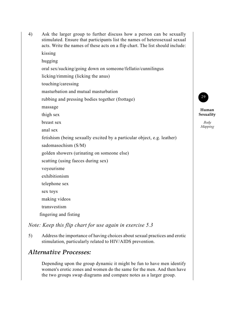stimulated. Ensure that participants list the names of heterosexual sexual acts. Write the names of these acts on a flip chart. The list should include: kissing hugging oral sex/sucking/going down on someone/fellatio/cunnilingus licking/rimming (licking the anus) touching/caressing masturbation and mutual masturbation rubbing and pressing bodies together (frottage) massage thigh sex breast sex anal sex fetishism (being sexually excited by a particular object, e.g. leather) sadomasochism (S/M) golden showers (urinating on someone else) scatting (using faeces during sex) voyeurisme exhibitionism telephone sex sex toys making videos transvestism fingering and fisting

4) Ask the larger group to further discuss how a person can be sexually

29

**Human Sexuality** *Body Mapping*

*Note: Keep this flip chart for use again in exercise 5.3*

5) Address the importance of having choices about sexual practices and erotic stimulation, particularly related to HIV/AIDS prevention.

### *Alternative Processes:*

Depending upon the group dynamic it might be fun to have men identify women's erotic zones and women do the same for the men. And then have the two groups swap diagrams and compare notes as a larger group.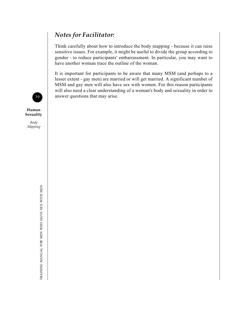# *Notes for Facilitator:*

Think carefully about how to introduce the body mapping - because it can raise sensitive issues. For example, it might be useful to divide the group according to gender - to reduce participants' embarrassment. In particular, you may want to have another woman trace the outline of the woman.

It is important for participants to be aware that many MSM (and perhaps to a lesser extent - gay men) are married or will get married. A significant number of MSM and gay men will also have sex with women. For this reason participants will also need a clear understanding of a woman's body and sexuality in order to answer questions that may arise.



**Human Sexuality**

*Body Mapping*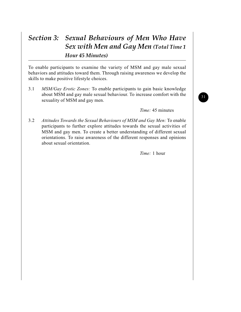# *Section 3: Sexual Behaviours of Men Who Have Sex with Men and Gay Men (Total Time 1 Hour 45 Minutes)*

To enable participants to examine the variety of MSM and gay male sexual behaviors and attitudes toward them. Through raising awareness we develop the skills to make positive lifestyle choices.

3.1 *MSM/Gay Erotic Zones:* To enable participants to gain basic knowledge about MSM and gay male sexual behaviour. To increase comfort with the sexuality of MSM and gay men.

*Time:* 45 minutes

3.2 *Attitudes Towards the Sexual Behaviours of MSM and Gay Men:* To enable participants to further explore attitudes towards the sexual activities of MSM and gay men. To create a better understanding of different sexual orientations. To raise awareness of the different responses and opinions about sexual orientation.

*Time:* 1 hour

31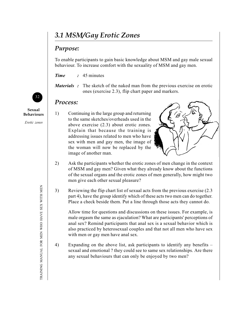# *3.1 MSM/Gay Erotic Zones*

#### *Purpose:*

To enable participants to gain basic knowledge about MSM and gay male sexual behaviour. To increase comfort with the sexuality of MSM and gay men.

*Time :* 45 minutes

*Materials :* The sketch of the naked man from the previous exercise on erotic ones (exercise 2.3), flip chart paper and markers.

#### *Process:*

1) Continuing in the large group and returning to the same sketches/overheads used in the above exercise (2.3) about erotic zones. Explain that because the training is addressing issues related to men who have sex with men and gay men, the image of the woman will now be replaced by the image of another man.



- 2) Ask the participants whether the erotic zones of men change in the context of MSM and gay men? Given what they already know about the functions of the sexual organs and the erotic zones of men generally, how might two men give each other sexual pleasure?
- 3) Reviewing the flip chart list of sexual acts from the previous exercise (2.3 part 4), have the group identify which of these acts two men can do together. Place a check beside them. Put a line through those acts they cannot do.

Allow time for questions and discussions on these issues. For example, is male orgasm the same as ejaculation? What are participants' perceptions of anal sex? Remind participants that anal sex is a sexual behavior which is also practiced by heterosexual couples and that not all men who have sex with men or gay men have anal sex.

4) Expanding on the above list, ask participants to identify any benefits – sexual and emotional ? they could see to same sex relationships. Are there any sexual behaviours that can only be enjoyed by two men?



**Sexual Behaviours**

*Erotic zones*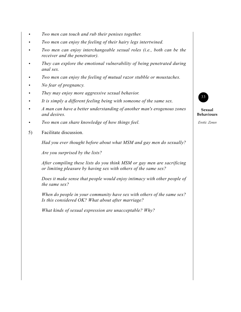- **•** *Two men can touch and rub their penises together.*
- **•** *Two men can enjoy the feeling of their hairy legs intertwined.*
- **•** *Two men can enjoy interchangeable sexual roles (i.e., both can be the receiver and the penetrator).*
- **•** *They can explore the emotional vulnerability of being penetrated during anal sex.*
- **•** *Two men can enjoy the feeling of mutual razor stubble or moustaches.*
- **•** *No fear of pregnancy.*
- **•** *They may enjoy more aggressive sexual behavior.*
- **•** *It is simply a different feeling being with someone of the same sex.*
- **•** *A man can have a better understanding of another man's erogenous zones and desires.*
- **•** *Two men can share knowledge of how things feel.*
- 5) Facilitate discussion.

*Had you ever thought before about what MSM and gay men do sexually?*

*Are you surprised by the lists?*

*After compiling these lists do you think MSM or gay men are sacrificing or limiting pleasure by having sex with others of the same sex?*

*Does it make sense that people would enjoy intimacy with other people of the same sex?*

*When do people in your community have sex with others of the same sex? Is this considered OK? What about after marriage?*

*What kinds of sexual expression are unacceptable? Why?*



**Sexual Behaviours**

*Erotic Zones*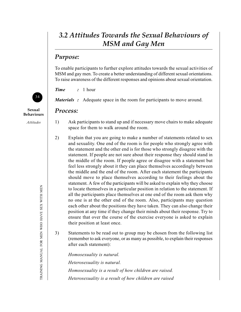# *3.2 Attitudes Towards the Sexual Behaviours of MSM and Gay Men*

#### *Purpose:*

To enable participants to further explore attitudes towards the sexual activities of MSM and gay men. To create a better understanding of different sexual orientations. To raise awareness of the different responses and opinions about sexual orientation.

*Time :* 1 hour

*Materials :* Adequate space in the room for participants to move around.

#### *Process:*

- 1) Ask participants to stand up and if necessary move chairs to make adequate space for them to walk around the room.
- 2) Explain that you are going to make a number of statements related to sex and sexuality. One end of the room is for people who strongly agree with the statement and the other end is for those who strongly disagree with the statement. If people are not sure about their response they should stand in the middle of the room. If people agree or disagree with a statement but feel less strongly about it they can place themselves accordingly between the middle and the end of the room. After each statement the participants should move to place themselves according to their feelings about the statement. A few of the participants will be asked to explain why they choose to locate themselves in a particular position in relation to the statement. If all the participants place themselves at one end of the room ask them why no one is at the other end of the room. Also, participants may question each other about the positions they have taken. They can also change their position at any time if they change their minds about their response. Try to ensure that over the course of the exercise everyone is asked to explain their position at least once.
- 3) Statements to be read out to group may be chosen from the following list (remember to ask everyone, or as many as possible, to explain their responses after each statement):

*Homosexuality is natural. Heterosexuality is natural. Homosexuality is a result of how children are raised. Heterosexuality is a result of how children are raised*



**Sexual Behaviours**

*Attitudes*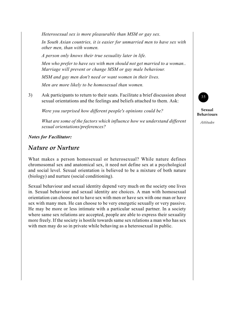*Heterosexual sex is more pleasurable than MSM or gay sex.*

*In South Asian countries, it is easier for unmarried men to have sex with other men, than with women.*

*A person only knows their true sexuality later in life.*

*Men who prefer to have sex with men should not get married to a woman.. Marriage will prevent or change MSM or gay male behaviour.*

*MSM and gay men don't need or want women in their lives.*

*Men are more likely to be homosexual than women.*

3) Ask participants to return to their seats. Facilitate a brief discussion about sexual orientations and the feelings and beliefs attached to them. Ask:

*Were you surprised how different people's opinions could be?*

*What are some of the factors which influence how we understand different sexual orientations/preferences?*

*Notes for Facilitator:*

#### *Nature or Nurture*

What makes a person homosexual or heterosexual? While nature defines chromosomal sex and anatomical sex, it need not define sex at a psychological and social level. Sexual orientation is believed to be a mixture of both nature (biology) and nurture (social conditioning).

Sexual behaviour and sexual identity depend very much on the society one lives in. Sexual behaviour and sexual identity are choices. A man with homosexual orientation can choose not to have sex with men or have sex with one man or have sex with many men. He can choose to be very energetic sexually or very passive. He may be more or less intimate with a particular sexual partner. In a society where same sex relations are accepted, people are able to express their sexuality more freely. If the society is hostile towards same sex relations a man who has sex with men may do so in private while behaving as a heterosexual in public.



**Sexual Behaviours**

*Attitudes*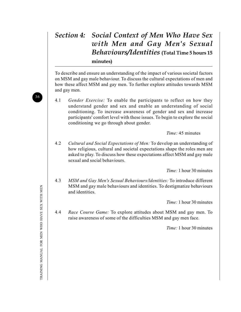## *Section 4: Social Context of Men Who Have Sex with Men and Gay Men's Sexual Behaviours/Identities* **(Total Time 5 hours 15 minutes)**

To describe and ensure an understanding of the impact of various societal factors on MSM and gay male behaviour. To discuss the cultural expectations of men and how these affect MSM and gay men. To further explore attitudes towards MSM and gay men.

4.1 *Gender Exercise:* To enable the participants to reflect on how they understand gender and sex and enable an understanding of social conditioning. To increase awareness of gender and sex and increase participants' comfort level with these issues. To begin to explore the social conditioning we go through about gender.

*Time:* 45 minutes

4.2 *Cultural and Social Expectations of Men:* To develop an understanding of how religious, cultural and societal expectations shape the roles men are asked to play. To discuss how these expectations affect MSM and gay male sexual and social behaviours.

*Time:* 1 hour 30 minutes

4.3 *MSM and Gay Men's Sexual Behaviours/ldentities:* To introduce different MSM and gay male behaviours and identities. To destigmatize behaviours and identities.

*Time:* 1 hour 30 minutes

4.4 *Race Course Game:* To explore attitudes about MSM and gay men. To raise awareness of some of the difficulties MSM and gay men face.

*Time:* 1 hour 30 minutes

36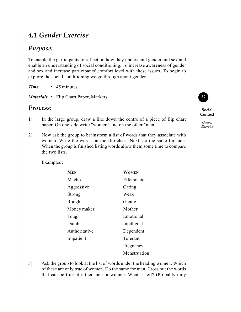## *4.1 Gender Exercise*

#### *Purpose:*

To enable the participants to reflect on how they understand gender and sex and enable an understanding of social conditioning. To increase awareness of gender and sex and increase participants' comfort level with these issues. To begin to explore the social conditioning we go through about gender.

*Time :* 45 minutes

Examples :

*Materials :* Flip Chart Paper, Markers

#### *Process:*

- 1) In the large group, draw a line down the centre of a piece of flip chart paper. On one side write "women" and on the other "men."
- 2) Now ask the group to brainstorm a list of words that they associate with women. Write the words on the flip chart. Next, do the same for men. When the group is finished listing words allow them some time to compare the two lists.

| <b>WOMEN</b> |
|--------------|
|              |
| Effeminate   |
| Caring       |
| Weak         |
| Gentle       |
| Mother       |
| Emotional    |
| Intelligent  |
| Dependent    |
| Tolerant     |
| Pregnancy    |
| Menstruation |
|              |

3) Ask the group to look at the list of words under the heading women. Which of these are only true of women. Do the same for men. Cross out the words that can be true of either men or women. What is left? (Probably only

## 37 **Social**

**Context** *Gender Exercise*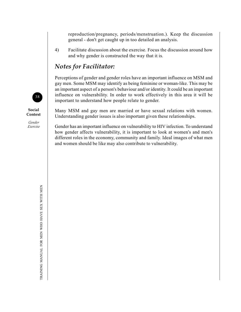reproduction/pregnancy, periods/menstruation.). Keep the discussion general - don't get caught up in too detailed an analysis.

4) Facilitate discussion about the exercise. Focus the discussion around how and why gender is constructed the way that it is.

### *Notes for Facilitator:*

Perceptions of gender and gender roles have an important influence on MSM and gay men. Some MSM may identify as being feminine or woman-like. This may be an important aspect of a person's behaviour and/or identity. It could be an important influence on vulnerability. In order to work effectively in this area it will be important to understand how people relate to gender.

Many MSM and gay men are married or have sexual relations with women. Understanding gender issues is also important given these relationships.

Gender has an important influence on vulnerability to HIV infection. To understand how gender affects vulnerability, it is important to look at women's and men's different roles in the economy, community and family. Ideal images of what men and women should be like may also contribute to vulnerability.



**Social Context**

*Gender Exercise*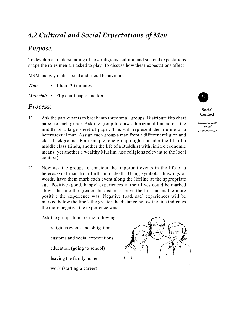# *4.2 Cultural and Social Expectations of Men*

### *Purpose:*

To develop an understanding of how religious, cultural and societal expectations shape the roles men are asked to play. To discuss how these expectations affect

MSM and gay male sexual and social behaviours.

*Time :* 1 hour 30 minutes

*Materials :* Flip chart paper, markers

#### *Process:*

- 1) Ask the participants to break into three small groups. Distribute flip chart paper to each group. Ask the group to draw a horizontal line across the middle of a large sheet of paper. This will represent the lifeline of a heterosexual man. Assign each group a man from a different religion and class background. For example, one group might consider the life of a middle class Hindu, another the life of a Buddhist with limited economic means, yet another a wealthy Muslim (use religions relevant to the local context).
- 2) Now ask the groups to consider the important events in the life of a heterosexual man from birth until death. Using symbols, drawings or words, have them mark each event along the lifeline at the appropriate age. Positive (good, happy) experiences in their lives could be marked above the line the greater the distance above the line means the more positive the experience was. Negative (bad, sad) experiences will be marked below the line ? the greater the distance below the line indicates the more negative the experience was.

Ask the groups to mark the following:

religious events and obligations customs and social expectations

education (going to school)

leaving the family home

work (starting a career)





#### **Social Context**

*Cultural and Social Expectations*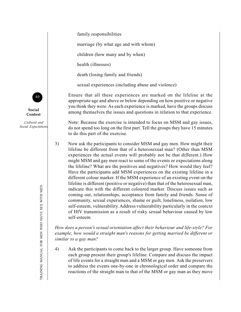family responsibilities

marriage (by what age and with whom)

children (how many and by when)

health (illnesses)

death (losing family and friends)

sexual experiences (including abuse and violence)

Ensure that all these experiences are marked on the lifeline at the appropriate age and above or below depending on how positive or negative you think they were. As each experience is marked, have the groups discuss among themselves the issues and questions in relation to that experience.

Note: Because the exercise is intended to focus on MSM and gay issues, do not spend too long on the first part. Tell the groups they have 15 minutes to do this part of the exercise.

3) Now ask the participants to consider MSM and gay men. How might their lifeline be different from that of a heterosexual man? (Other than MSM experiences the actual events will probably not be that different.) How might MSM and gay men react to some of the events or expectations along the lifeline? What are the positives and negatives? How would they feel? Have the participants add MSM experiences on the existing lifeline in a different colour marker. If the MSM experience of an existing event on the lifeline is different (positive or negative) than that of the heterosexual man, indicate this with the different coloured marker. Discuss issues such as coming out, relationships, acceptance from family and friends. Sense of community, sexual experiences, shame or guilt, loneliness, isolation, low self-esteem, vulnerability. Address vulnerability particularly in the contcxt of HIV transmission as a result of risky sexual behaviour caused by low self-esteem.

*How does a person's sexual orientation affect their behaviour and life-style? For example, how would a straight man's reasons for getting married be different or similar to a gay man?*

4) Ask the participants to come back to the larger group. Have someone from each group present their group's lifeline. Compare and discuss the impact of life events for a straight man and a MSM or gay men. Ask the preservers to address the events one-by-one in chronological order and compare the reactions of the straight man to that of the MSM or gay man as they move



**Social Context**

*Cultural and Social Expectations*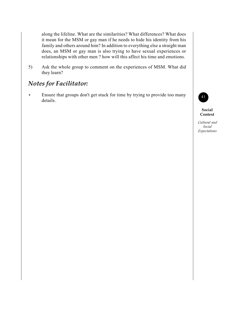along the lifeline. What are the similarities? What differences? What does it mean for the MSM or gay man if he needs to hide his identity from his family and others around him? In addition to everything else a straight man does, an MSM or gay man is also trying to have sexual experiences or relationships with other men ? how will this affect his time and emotions.

5) Ask the whole group to comment on the experiences of MSM. What did they learn?

### *Notes for Facilitator:*

**•** Ensure that groups don't get stuck for time by trying to provide too many details.



**Social Context**

*Cultural and Social Expectations*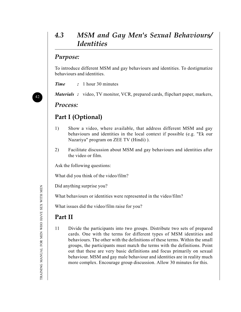## *4.3 MSM and Gay Men's Sexual Behaviours/ Identities*

#### *Purpose:*

To introduce different MSM and gay behaviours and identities. To destigmatize behaviours and identities.

*Time :* 1 hour 30 minutes

*Materials :* video, TV monitor, VCR, prepared cards, flipchart paper, markers,

#### *Process:*

### **Part I (Optional)**

- 1) Show a video, where available, that address different MSM and gay behaviours and identities in the local context if possible (e.g. "Ek our Nazariya" program on ZEE TV (Hindi) ).
- 2) Facilitate discussion about MSM and gay behaviours and identities after the video or film.

Ask the following questions:

What did you think of the video/film?

Did anything surprise you?

What behaviours or identities were represented in the video/film?

What issues did the video/film raise for you?

### **Part II**

11 Divide the participants into two groups. Distribute two sets of prepared cards. One with the terms for different types of MSM identities and behaviours. The other with the definitions of these terms. Within the small groups, the participants must match the terms with the definitions. Point out that these are very basic definitions and focus primarily on sexual behaviour. MSM and gay male behaviour and identities are in reality much more complex. Encourage group discussion. Allow 30 minutes for this.

42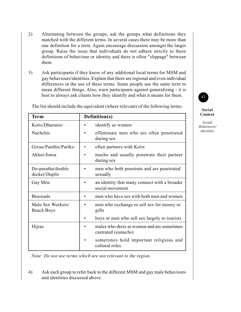- 2) Alternating between the groups, ask the groups what definitions they matched with the different terms. In several cases there may be more than one definition for a term. Again encourage discussion amongst the larger group. Raise the issue that individuals do not adhere strictly to these definitions of behaviour or identity and there is often "slippage" between them.
- 3) Ask participants if they know of any additional local terms for MSM and gay behaviours/identities. Explain that there are regional and even individual differences in the use of these terms. Some people use the same term to mean different things. Also, warn participants against generalizing - it is best to always ask clients how they identify and what it means for them.

| <b>Term</b>                            | Definition(s)                                                     |  |
|----------------------------------------|-------------------------------------------------------------------|--|
| Kotis/Dhuranis/                        | identify as women                                                 |  |
| <b>Nachchis</b>                        | effeminate men who are often penetrated<br>during sex             |  |
| Girias/Panthis/Pariks/                 | often partners with Kotis                                         |  |
| Akher/Jonsa                            | macho and usually penetrate their partner<br>during sex           |  |
| Do-paratha/double<br>decker/Duplis     | men who both penetrate and are penetrated<br>sexually             |  |
| Gay Men                                | an identity that many connect with a broader<br>social movement   |  |
| <b>Bisexuals</b>                       | men who have sex with both men and women                          |  |
| Male Sex Workers/<br><b>Beach Boys</b> | men who exchange or sell sex for money or<br>gifts                |  |
|                                        | boys or men who sell sex largely to tourists                      |  |
| Hijras                                 | males who dress as women and are sometimes<br>castrated (eunuchs) |  |
|                                        | sometimes hold important religious and<br>cultural roles          |  |

The list should include the equivalent (where relevant) of the following terms:

**Social Context**

43

*Sexual Behaviours/ Identities*

*Note: Do not use terms which are not relevant to the region.*

4) Ask each group to refer back to the different MSM and gay male behaviours and identities discussed above.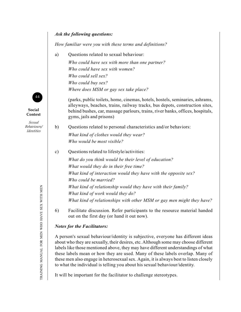#### *Ask the following questions:*

*How familiar were you with these terms and definitions?*

a) Questions related to sexual behaviour: *Who could have sex with more than one partner? Who could have sex with women? Who could sell sex? Who could buy sex? Where does MSM or gay sex take place?*

> (parks, public toilets, home, cinemas, hotels, hostels, seminaries, ashrams, alleyways, beaches, trains, railway tracks, bus depots, construction sites, behind bushes, car, massage parlours, trains, river banks, offices, hospitals, gyms, jails and prisons)

- b) Questions related to personal characteristics and/or behaviors: *What kind of clothes would they wear?*
	- *Who would be most visible?*
- c) Questions related to lifestyle/activities: *What do you think would be their level of education? What would they do in their free time? What kind of interaction would they have with the opposite sex? Who could be married? What kind of relationship would they have with their family? What kind of work would they do? What kind of relationships with other MSM or gay men might they have?*
- 6) Facilitate discussion. Refer participants to the resource material handed out on the first day (or hand it out now).

#### *Notes for the Facilitators:*

A person's sexual behaviour/identity is subjective, everyone has different ideas about who they are sexually, their desires, etc. Although some may choose different labels like those mentioned above, they may have different understandings of what these labels mean or how they are used. Many of these labels overlap. Many of these men also engage in heterosexual sex. Again, it is always best to listen closely to what the individual is telling you about his sexual behaviour/identity.

It will be important for the facilitator to challenge stereotypes.



**Social Context**

*Sexual Behaviours/ Identities*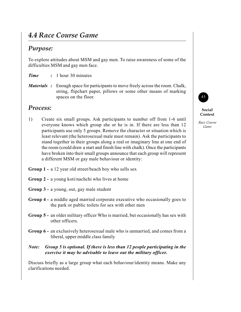## *4.4 Race Course Game*

#### *Purpose:*

To explore attitudes about MSM and gay men. To raise awareness of some of the difficulties MSM and gay men face.

*Time :* 1 hour 30 minutes

*Materials :* Enough space for participants to move freely across the room. Chalk, string, flipchart paper, pillows or some other means of marking spaces on the floor.

#### *Process:*

- 1) Create six small groups. Ask participants to number off from 1-6 until everyone knows which group she or he is in. If there are less than 12 participants use only 5 groups. Remove the character or situation which is least relevant (the heterosexual male must remain). Ask the participants to stand together in their groups along a real or imaginary line at one end of the room (could draw a start and finish line with chalk). Once the participants have broken into their small groups announce that each group will represent a different MSM or gay male behaviour or identity:
- **Group 1 -** a 12 year old street/beach boy who sells sex
- **Group 2 -** a young koti/nachchi who lives at home
- **Group 3 -** a young, out, gay male student
- **Group 4 -** a middle aged married corporate executive who occasionally goes to the park or public toilets for sex with other men
- **Group 5 -** an older military officer Who is married, but occasionally has sex with other officers.
- **Group 6 -** an exclusively heterosexual male who is unmarried, and comes from a liberal, upper middle class family
- *Note:* Group 5 is optional. If there is less than 12 people participating in the *exercise it may be advisable to leave out the military officer.*

Discuss briefly as a large group what each behaviour/identity means. Make any clarifications needed.



#### **Social Context**

*Race Course Game*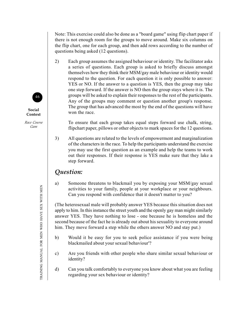Note: This exercise could also be done as a "board game" using flip chart paper if there is not enough room for the groups to move around. Make six columns on the flip chart, one for each group, and then add rows according to the number of questions being asked (12 questions).

2) Each group assumes the assigned behaviour or identity. The facilitator asks a series of questions. Each group is asked to briefly discuss amongst themselves how they think their MSM/gay male behaviour or identity would respond to the question. For each question it is only possible to answer: YES or NO. If the answer to a question is YES, then the group may take one step forward. If the answer is NO then the group stays where it is. The groups will be asked to explain their responses to the rest of the participants. Any of the groups may comment or question another group's response. The group that has advanced the most by the end of the questions will have won the race.

To ensure that each group takes equal steps forward use chalk, string, flipchart paper, pillows or other objects to mark spaces for the 12 questions.

3) All questions are related to the levels of empowerment and marginalization of the characters in the race. To help the participants understand the exercise you may use the first question as an example and help the teams to work out their responses. If their response is YES make sure that they lake a step forward.

#### *Question:*

a) Someone threatens to blackmail you by exposing your MSM/gay sexual activities to your family, people at your workplace or your neighbours. Can you respond with confidence that it doesn't matter to you?

(The heterosexual male will probably answer YES because this situation does not apply to him. In this instance the street youth and the openly gay man might similarly answer YES. They have nothing to lose - one because he is homeless and the second because of the fact he is already out about his sexuality to everyone around him. They move forward a step while the others answer NO and stay put.)

- b) Would it be easy for you to seek police assistance if you were being blackmailed about your sexual behaviour'?
- c) Are you friends with other people who share similar sexual behaviour or identity?
- d) Can you talk comfortably to everyone you know about what you are feeling regarding your sex behaviour or identity?



**Social Context**

*Race Course Gam*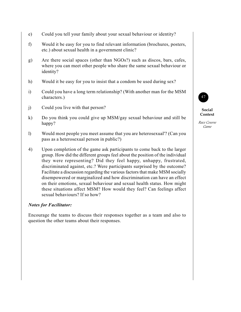- e) Could you tell your family about your sexual behaviour or identity?
- f) Would it be easy for you to find relevant information (brochures, posters, etc.) about sexual health in a government clinic?
- g) Are there social spaces (other than NGOs?) such as discos, bars, cafes, where you can meet other people who share the same sexual behaviour or identity?
- h) Would it be easy for you to insist that a condom be used during sex?
- i) Could you have a long term relationship? (With another man for the MSM characters.)
- j) Could you live with that person?
- k) Do you think you could give up MSM/gay sexual behaviour and still be happy?
- l) Would most people you meet assume that you are heterosexual'? (Can you pass as a heterosexual person in public?)
- 4) Upon completion of the game ask participants to come back to the larger group. How did the different groups feel about the position of the individual they were representing? Did they feel happy, unhappy, frustrated, discriminated against, etc.? Were participants surprised by the outcome? Facilitate a discussion regarding the various factors that make MSM socially disempowered or marginalized and how discrimination can have an effect on their emotions, sexual behaviour and sexual health status. How might these situations affect MSM? How would they feel? Can feelings affect sexual behaviours? If so how?

#### *Notes for Facilitator:*

Encourage the teams to discuss their responses together as a team and also to question the other teams about their responses.



**Social Context**

*Race Course Game*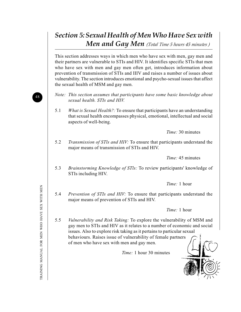# *Section 5: Sexual Health of Men Who Have Sex with Men and Gay Men (Total Time 5 hours 45 minutes )*

This section addresses ways in which men who have sex with men, gay men and their partners are vulnerable to STIs and HIV. It identifies specific STIs that men who have sex with men and gay men often get, introduces information about prevention of transmission of STIs and IIIV and raises a number of issues about vulnerability. The section introduces emotional and psycho-sexual issues that affect the sexual health of MSM and gay men.

- *Note: This section assumes that participants have some basic knowledge about sexual health. STIs and HIV.*
- 5.1 *What is Sexual Health?:* To ensure that participants have an understanding that sexual health encompasses physical, emotional, intellectual and social aspects of well-being.

*Time:* 30 minutes

5.2 *Transmission of STls and HIV:* To ensure that participants understand the major means of transmission of STIs and HIV.

*Time:* 45 minutes

5.3 *Brainstorming Knowledge of STls:* To review participants' knowledge of STIs including HIV.

*Time:* 1 hour

5.4 *Prevention of STIs and HIV:* To ensure that participants understand the major means of prevention of STIs and HIV.

*Time:* 1 hour

5.5 *Vulnerability and Risk Taking:* To explore the vulnerability of MSM and gay men to STIs and HIV as it relates to a number of economic and social issues. Also to explore risk taking as it pertains to particular sexual behaviours. Raises issue of vulnerability of female partners of men who have sex with men and gay men.

*Time:* 1 hour 30 minutes



TRAINING MANUAL FOR MEN WHO HAVE SEX WITH MENTRAINING MANUAL FOR MEN WHO HAVE SEX WITH MEN

48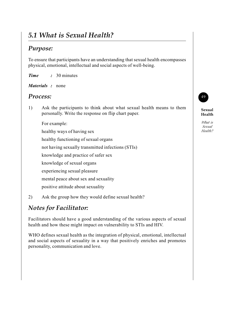# *5.1 What is Sexual Health?*

### *Purpose:*

To ensure that participants have an understanding that sexual health encompasses physical, emotional, intellectual and social aspects of well-being.

- *Time :* 30 minutes
- *Materials :* none

#### *Process:*

- 1) Ask the participants to think about what sexual health means to them personally. Write the response on flip chart paper.
	- For example:
	- healthy ways of having sex
	- healthy functioning of sexual organs
	- not having sexually transmitted infections (STIs)
	- knowledge and practice of safer sex
	- knowledge of sexual organs
	- experiencing sexual pleasure
	- mental peace about sex and sexuality
	- positive attitude about sexuality
- 2) Ask the group how they would define sexual health?

## *Notes for Facilitator:*

Facilitators should have a good understanding of the various aspects of sexual health and how these might impact on vulnerability to STIs and HIV.

WHO defines sexual health as the integration of physical, emotional, intellectual and social aspects of sexuality in a way that positively enriches and promotes personality, communication and love.



**Sexual Health**

*What is Sexual Health?*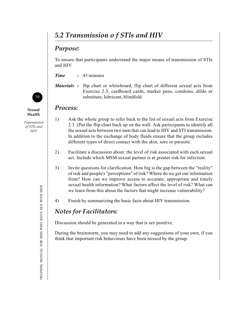# *5.2 Transmission o f STls and HIV*

### *Purpose:*

To ensure that participants understand the major means of transmission of STIs and HIV.

*Time :* 45 minutes

*Materials :* flip chart or whiteboard, flip chart of different sexual acts from Exercise 2.3, cardboard cards, marker pens, condoms, dildo or substitute, lubricant, blindfold

#### *Process:*

- 1) Ask the whole group to refer back to the list of sexual acts from Exercise 2.3. (Put the flip chart back up on the wall. Ask participants to identify all the sexual acts between two men that can lead to HIV and STI transmission. In addition to the exchange of body fluids ensure that the group includes different types of direct contact with the skin, sore or parasite.
- 2) Facilitate a discussion about. the level of risk associated with each sexual act. Include which MSM sexual partner is at greater risk for infection.
- 3) Invite questions for clarification. How big is the gap between the "reality" of risk and people's "perceptions" of risk? Where do we get our information from? How can we improve access to accurate, appropriate and timely sexual health information? What factors affect the level of risk? What can we learn from this about the factors that might increase vulnerability?
- 4) Finish by summarizing the basic facts about HIV transmission.

### *Notes for Facilitators:*

Discussion should be generated in a way that is sex positive.

During the brainstorm, you may need to add any suggestions of your own, if you think that important risk behaviours have been missed by the group.



**Sexual Health**

*Transmission of STIs and HIV*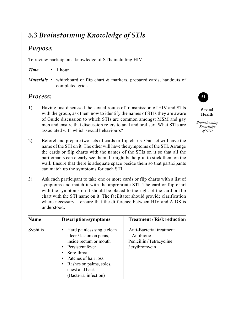# *5.3 Brainstorming Knowledge of STls*

#### *Purpose:*

To review participants' knowledge of STIs including HIV.

#### *Time :* 1 hour

*Materials* : whiteboard or flip chart & markers, prepared cards, handouts of completed grids

#### *Process:*

- 1) Having just discussed the sexual routes of transmission of HIV and STIs with the group, ask them now to identify the names of STIs they are aware of Guide discussion to which STIs are common amongst MSM and gay men and ensure that discussion refers to anal and oral sex. What STIs are associated with which sexual behaviours?
- 2) Beforehand prepare two sets of cards or flip charts. One set will have the name of the STI on it. The other will have the symptoms of the STI. Arrange the cards or flip charts with the names of the STIs on it so that all the participants can clearly see them. It might be helpful to stick them on the wall. Ensure that there is adequate space beside them so that participants can match up the symptoms for each STI.
- 3) Ask each participant to take one or more cards or flip charts with a list of symptoms and match it with the appropriate STI. The card or flip chart with the symptoms on it should be placed to the right of the card or flip chart with the STI name on it. The facilitator should provide clarification where necessary – ensure that the difference between HIV and AIDS is understood.

| <b>Name</b> | <b>Description/symptoms</b>                                                                                                                                                                                                            | <b>Treatment / Risk reduction</b>                                                         |
|-------------|----------------------------------------------------------------------------------------------------------------------------------------------------------------------------------------------------------------------------------------|-------------------------------------------------------------------------------------------|
| Syphilis    | • Hard painless single clean<br>ulcer / lesion on penis,<br>inside rectum or mouth<br>• Persistent fever<br>• Sore throat<br>• Patches of hair loss<br>Rashes on palms, soles,<br>$\bullet$<br>chest and back<br>(Bacterial infection) | Anti-Bacterial treatment<br>$-A$ ntibiotic<br>Penicillin / Tetracycline<br>/ erythromycin |



**Sexual Health**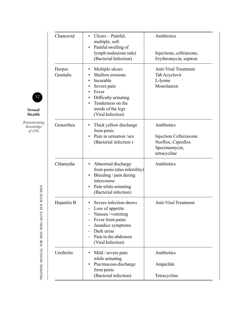| Chancroid           | Ulcers – Painful,<br>$\bullet$<br>multiple, soft                                                                                                                              | Antibiotics                                                                                   |
|---------------------|-------------------------------------------------------------------------------------------------------------------------------------------------------------------------------|-----------------------------------------------------------------------------------------------|
|                     | Painful swelling of<br>lymph nodes(one side)<br>(Bacterial Infection)                                                                                                         | Injections, ceftriaxone,<br>Erythromycin, septron                                             |
| Herpes<br>Genitalis | Multiple ulcers<br>Shallow erosions<br>Incurable<br>Severe pain<br>Fever<br>Difficulty urinating<br>Tenderness on the<br>$\bullet$<br>inside of the legs<br>(Viral Infection) | <b>Anti-Viral Treatment</b><br>Tab Acyclovir<br>L-lysine<br>Monolauren                        |
| Gonorrhea           | Thick yellow discharge<br>from penis<br>Pain in urination /sex<br>(Bacterial infection)                                                                                       | Antibiotics<br>Injection Cefteriaxone<br>Norflox, Ciproflox<br>Spectinomycin,<br>tetracycline |
| Chlamydia           | Abnormal discharge<br>from penis (also infertility)<br>Bleeding / pain during<br>intercourse<br>Pain while urinating<br>(Bacterial infection)                                 | Antibiotics                                                                                   |
| Hepatitis B         | Severe infection shows<br>Loss of appetite<br>Nausea / vomiting<br>Fever Joint pains<br>Jaundice symptoms<br>Dark urine<br>Pain in the abdomen<br>(Viral Infection)           | <b>Anti-Viral Treatment</b>                                                                   |
| Urethritis          | Mild / severe pain<br>while urinating<br>Pus/mucous discharge<br>from penis                                                                                                   | Antibiotics<br>Ampiciliin                                                                     |
|                     | (Bacterial infection)                                                                                                                                                         | Tetracycline                                                                                  |



**Sexual Health**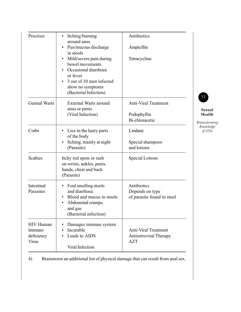| Proctisis                                                | Itching/burning<br>٠<br>around anus                                                                                                                     | Antibiotics                                                         |
|----------------------------------------------------------|---------------------------------------------------------------------------------------------------------------------------------------------------------|---------------------------------------------------------------------|
|                                                          | Pus/mucous discharge<br>in stools                                                                                                                       | Ampicillin                                                          |
|                                                          | Mild/severe pain during<br>bowel movements<br>Occasional diarrhoea<br>or fever<br>3 out of 10 men infected<br>show no symptoms<br>(Bacterial Infection) | Tetracycline                                                        |
| <b>Genital Warts</b>                                     | <b>External Warts around</b><br>anus or penis                                                                                                           | <b>Anti-Viral Treatment</b>                                         |
|                                                          | (Viral Infection)                                                                                                                                       | Podophyllin<br>Bi-chloracetic                                       |
| Crabs                                                    | Lice in the hairy parts<br>$\bullet$<br>of the body                                                                                                     | Lindane                                                             |
|                                                          | Itching, mainly at night<br>(Parasite)                                                                                                                  | Special shampoos<br>and lotions                                     |
| <b>Scabies</b>                                           | Itchy red spots or rash<br>on wrists, ankles, penis,<br>hands, chest and back<br>(Parasite)                                                             | <b>Special Lotions</b>                                              |
| Intestinal<br>Parasites                                  | • Foul smelling stools<br>and diarrhoea<br>Blood and mucus in stools<br>Abdominal cramps.<br>$\bullet$<br>and gas<br>(Bacterial infection)              | Antibiotics<br>Depends on type<br>of parasite found in stool        |
| <b>HIV</b> Human<br><i>lmmuno</i><br>deficiency<br>Virus | Damages immune system<br>Incurable<br>Leads to AIDS<br>Viral Infection                                                                                  | <b>Anti-Viral Treatment</b><br>Antiretroviral Therapy<br><b>AZT</b> |

4) Brainstorm an additional list of physical damage that can result from anal sex.

**Sexual Health**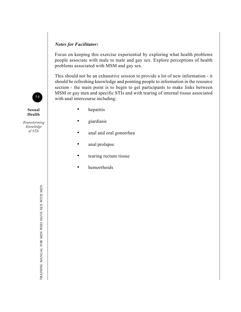#### *Notes for Facilitator:*

Focus on keeping this exercise experiential by exploring what health problems people associate with male to male and gay sex. Explore perceptions of health problems associated with MSM and gay sex.

This should not be an exhaustive session to provide a lot of new information - it should be refreshing knowledge and pointing people to information in the resource section - the main point is to begin to get participants to make links between MSM or gay men and specific STIs and with tearing of internal tissue associated with anal intercourse including:

- hepatitis
- giardiasis
- anal and oral gonorrhea
- anal prolapse
- tearing rectum tissue
- hemorrhoids

TRAINING MANUAL FOR MEN WHO HAVE SEX WITH MEN TRAINING MANUAL FOR MEN WHO HAVE SEX WITH MEN



**Sexual Health**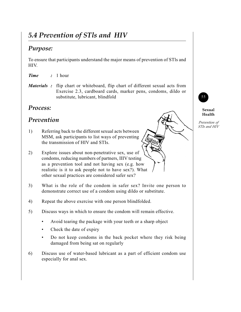# *5.4 Prevention of STls and HIV*

### *Purpose:*

To ensure that participants understand the major means of prevention of STls and HIV.

*Time :* 1 hour

*Materials :* flip chart or whiteboard, flip chart of different sexual acts from Exercise 2.3, cardboard cards, marker pens, condoms, dildo or substitute, lubricant, blindfold

#### *Process:*

### *Prevention*

- 1) Referring back to the different sexual acts between MSM, ask participants to list ways of preventing the transmission of HIV and STIs.
- 2) Explore issues about non-penetrative sex, use of condoms, reducing numbers of partners, IIIV testing as a prevention tool and not having sex (e.g. how realistic is it to ask people not to have sex?). What other sexual practices are considered safer sex?
- 3) What is the role of the condom in safer sex? Invite one person to demonstrate correct use of a condom using dildo or substitute.
- 4) Repeat the above exercise with one person blindfolded.
- 5) Discuss ways in which to ensure the condom will remain effective.
	- Avoid tearing the package with your teeth or a sharp object
	- Check the date of expiry
	- Do not keep condoms in the back pocket where they risk being damaged from being sat on regularly
- 6) Discuss use of water-based lubricant as a part of efficient condom use especially for anal sex.



**Sexual Health**

*Prevention of STIs and HIV*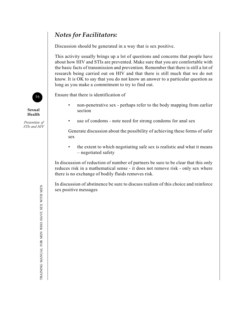## *Notes for Facilitators:*

Discussion should be generated in a way that is sex positive.

This activity usually brings up a lot of questions and concerns that people have about how HIV and STIs are prevented. Make sure that you are comfortable with the basic facts of transmission and prevention. Remember that there is still a lot of research being carried out on HIV and that there is still much that we do not know. It is OK to say that you do not know an answer to a particular question as long as you make a commitment to try to find out.

Ensure that there is identification of

- non-penetrative sex perhaps refer to the body mapping from earlier section
- use of condoms note need for strong condoms for anal sex

Generate discussion about the possibility of achieving these forms of safer sex

• the extent to which negotiating safe sex is realistic and what it means – negotiated safety

In discussion of reduction of number of partners be sure to be clear that this only reduces risk in a mathematical sense - it does not remove risk - only sex where there is no exchange of bodily fluids removes risk.

In discussion of abstinence be sure to discuss realism of this choice and reinforce sex positive messages



**Sexual Health**

*Prevention of STIs and HIV*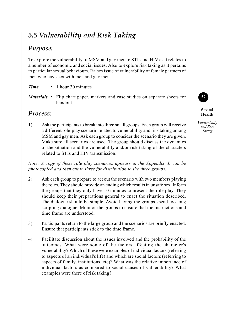# *5.5 Vulnerability and Risk Taking*

### *Purpose:*

To explore the vulnerability of MSM and gay men to STIs and HIV as it relates to a number of economic and social issues. Also to explore risk taking as it pertains to particular sexual behaviours. Raises issue of vulnerability of female partners of men who have sex with men and gay men.

- *Time :* 1 hour 30 minutes
- *Materials :* Flip chart paper, markers and case studies on separate sheets for handout

#### *Process:*

1) Ask the participants to break into three small groups. Each group will receive a different role-play scenario related to vulnerability and risk taking among MSM and gay men. Ask each group to consider the scenario they are given. Make sure all scenarios are used. The group should discuss the dynamics of the situation and the vulnerability and/or risk taking of the characters related to STIs and HIV transmission.

*Note: A copy of these role play scenarios appears in the Appendix. It can be photocopied and then cut in three for distribution to the three groups.*

- 2) Ask each group to prepare to act out the scenario with two members playing the roles. They should provide an ending which results in unsafe sex. Inform the groups that they only have 10 minutes to present the role play. They should keep their preparations general to enact the situation described. The dialogue should be simple. Avoid having the groups spend too long scripting dialogue. Monitor the groups to ensure that the instructions and time frame are understood.
- 3) Participants return to the large group and the scenarios are briefly enacted. Ensure that participants stick to the time frame.
- 4) Facilitate discussion about the issues involved and the probability of the outcomes. What were some of the factors affecting the character's vulnerability? Which of these were examples of individual factors (referring to aspects of an individual's life) and which are social factors (referring to aspects of family, institutions, etc)? What was the relative importance of individual factors as compared to social causes of vulnerability? What examples were there of risk taking?

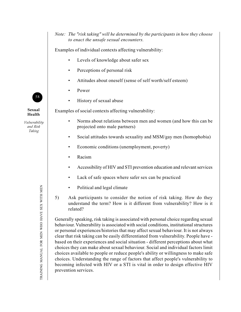*Note: The "risk taking" will he determined by the participants in how they choose to enact the unsafe sexual encounters.*

Examples of individual contexts affecting vulnerability:

- Levels of knowledge about safer sex
- Perceptions of personal risk
- Attitudes about oneself (sense of self worth/self esteem)
- Power
- History of sexual abuse

Examples of social contexts affecting vulnerability:

- Norms about relations between men and women (and how this can be projected onto male partners)
- Social attitudes towards sexuality and MSM/gay men (homophobia)
- Economic conditions (unemployment, poverty)
- Racism
- Accessibility of HIV and STI prevention education and relevant services
- Lack of safe spaces where safer sex can be practiced
- Political and legal climate
- 5) Ask participants to consider the notion of risk taking. How do they understand the term? How is it different from vulnerability? How is it related?

Generally speaking, risk taking is associated with personal choice regarding sexual behaviour. Vulnerability is associated with social conditions, institutional structures or personal experiences/histories that may affect sexual behaviour. It is not always clear that risk taking can be easily differentiated from vulnerability. People have based on their experiences and social situation - different perceptions about what choices they can make about sexual behaviour. Social and individual factors limit choices available to people or reduce people's ability or willingness to make safe choices. Understanding the range of factors that affect people's vulnerability to becoming infected with HIV or a STI is vital in order to design effective HIV prevention services.



**Sexual Health**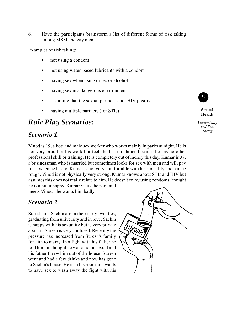6) Have the participants brainstorm a list of different forms of risk taking among MSM and gay men.

Examples of risk taking:

- not using a condom
- not using water-based lubricants with a condom
- having sex when using drugs or alcohol
- having sex in a dangerous environment
- assuming that the sexual partner is not HIV positive
- having multiple partners (for STIs)

## *Role Play Scenarios:*

#### *Scenario 1.*

Vinod is 19, a koti and male sex worker who works mainly in parks at night. He is not very proud of his work but feels he has no choice because he has no other professional skill or training. He is completely out of money this day. Kumar is 37, a businessman who is married but sometimes looks for sex with men and will pay for it when he has to. Kumar is not very comfortable with his sexuality and can be rough. Vinod is not physically very strong. Kumar knows about STIs and HIV but assumes this does not really relate to him. He doesn't enjoy using condoms. 'tonight he is a bit unhappy. Kumar visits the park and meets Vinod - he wants him badly.

*Scenario 2.*

Suresh and Sachin are in their early twenties, graduating from university and in love. Sachin is happy with his sexuality but is very private about it. Suresh is very confused. Recently the pressure has increased from Suresh's family for him to marry. In a fight with his father he told him lie thought he was a homosexual and his father threw him out of the house. Suresh went and had a few drinks and now has gone to Sachin's house. He is in his room and wants to have sex to wash away the fight with his





#### **Sexual Health**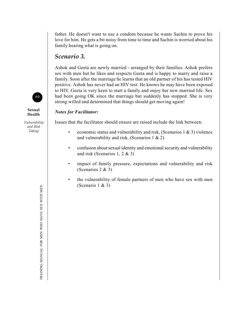father. He doesn't want to use a condom because he wants Sachin to prove his love for him. He gets a bit noisy from time to time and Sachin is worried about his family hearing what is going on.

#### *Scenario 3.*

Ashok and Geeta are newly married - arranged by their families. Ashok prefers sex with men but he likes and respects Geeta and is happy to marry and raise a family. Soon after the marriage he learns that an old partner of his has tested HIV positive. Ashok has never had an HIV test. He knows he may have been exposed to HIV. Geeta is very keen to start a family and enjoy her new married life. Sex had been going OK since the marriage but suddenly has stopped. She is very strong willed and determined that things should get moving again!

#### *Notes for Facilitator:*

Issues that the facilitator should ensure are raised include the link between:

- economic status and vulnerability and risk, (Scenarios 1  $\&$  3) violence and vulnerability and risk, (Scenarios 1 & 2)
- confusion about sexual identity and emotional security and vulnerability and risk (Scenarios 1, 2 & 3)
- impact of family pressure, expectations and vulnerability and risk (Scenarios 2 & 3)
- the vulnerability of female partners of men who have sex with men (Scenario 1 & 3)



**Sexual Health**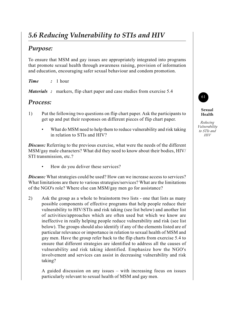# *5.6 Reducing Vulnerability to STIs and HIV*

### *Purpose:*

To ensure that MSM and gay issues are appropriately integrated into programs that promote sexual health through awareness raising, provision of information and education, encouraging safer sexual behaviour and condom promotion.

*Time :* 1 hour

*Materials :* markers, flip chart paper and case studies from exercise 5.4

#### *Process:*

- 1) Put the following two questions on flip chart paper. Ask the participants to get up and put their responses on different pieces of flip chart paper.
	- What do MSM need to help them to reduce vulnerability and risk taking in relation to STIs and HIV?

**Discuss:** Referring to the previous exercise, what were the needs of the different MSM/gay male characters? What did they need to know about their bodies, HIV/ STI transmission, etc.?

How do you deliver these services?

**Discuss:** What strategies could be used? How can we increase access to services? What limitations are there to various strategies/services? What are the limitations of the NGO's role? Where else can MSM/gay men go for assistance?

2) Ask the group as a whole to brainstorm two lists - one that lists as many possible components of effective programs that help people reduce their vulnerability to HIV/STIs and risk taking (see list below) and another list of activities/approaches which are often used but which we know are ineffective in really helping people reduce vulnerability and risk (see list below). The groups should also identify if any of the elements listed are of particular relevance or importance in relation to sexual health of MSM and gay men. Have the group refer back to the flip charts from exercise 5.4 to ensure that different strategies are identified to address all the causes of vulnerability and risk taking identified. Emphasize how the NGO's involvement and services can assist in decreasing vulnerability and risk taking?

A guided discussion on any issues – with increasing focus on issues particularly relevant to sexual health of MSM and gay men.



**Sexual Health**

*Reducing Vulnerability to STIs and HIV*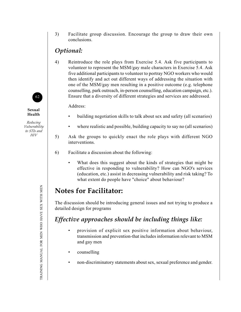3) Facilitate group discussion. Encourage the group to draw their own conclusions.

### *Optional:*

4) Reintroduce the role plays from Exercise 5.4. Ask five participants to volunteer to represent the MSM/gay male characters in Exercise 5.4. Ask five additional participants to volunteer to portray NGO workers who would then identify and act out different ways of addressing the situation with one of the MSM/gay men resulting in a positive outcome (e.g. telephone counselling, park outreach, in-person counselling, education campaign, etc.). Ensure that a diversity of different strategies and services are addressed.

Address:

- building negotiation skills to talk about sex and safety (all scenarios)
- where realistic and possible, building capacity to say no (all scenarios)
- 5) Ask the groups to quickly enact the role plays with different NGO interventions.
- 6) Facilitate a discussion about the following:
	- What does this suggest about the kinds of strategies that might be effective in responding to vulnerability? How can NGO's services (education, etc.) assist in decreasing vulnerability and risk taking? To what extent do people have "choice" about behaviour?

# **Notes for Facilitator:**

The discussion should be introducing general issues and not trying to produce a detailed design for programs

## *Effective approaches should be including things like:*

- provision of explicit sex positive information about behaviour, transmission and prevention-that includes information relevant to MSM and gay men
- counselling
- non-discriminatory statements about sex, sexual preference and gender.



**Sexual Health**

*Reducing Vulnerability to STIs and HIV*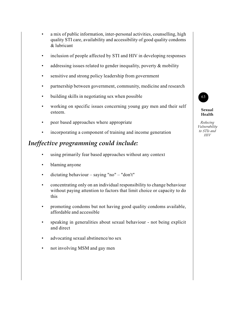- a mix of public information, inter-personal activities, counselling, high quality STI care, availability and accessibility of good quality condoms & lubricant
- inclusion of people affected by STI and HIV in developing responses
- addressing issues related to gender inequality, poverty  $&$  mobility
- sensitive and strong policy leadership from government
- partnership between government, community, medicine and research
- building skills in negotiating sex when possible
- working on specific issues concerning young gay men and their self esteem.
- peer based approaches where appropriate
- incorporating a component of training and income generation

#### *Ineffective programming could include:*

- using primarily fear based approaches without any context
- blaming anyone
- dictating behaviour saying "no" "don't"
- concentrating only on an individual responsibility to change behaviour without paying attention to factors that limit choice or capacity to do this
- promoting condoms but not having good quality condoms available, affordable and accessible
- speaking in generalities about sexual behaviour not being explicit and direct
- advocating sexual abstinence/no sex
- not involving MSM and gay men



**Sexual Health**

*Reducing Vulnerability to STIs and HIV*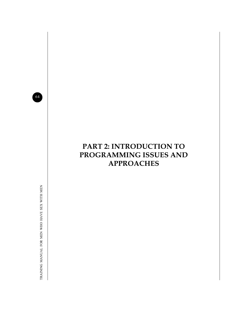64

# **PART 2: INTRODUCTION TO PROGRAMMING ISSUES AND APPROACHES**

TRAINING MANUAL FOR MEN WHO HAVE SEX WITH MEN TRAINING MANUAL FOR MEN WHO HAVE SEX WITH MEN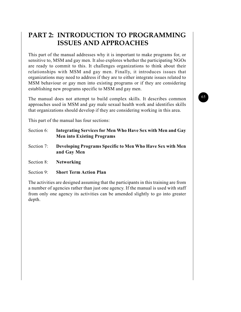## **PART 2: INTRODUCTION TO PROGRAMMING ISSUES AND APPROACHES**

This part of the manual addresses why it is important to make programs for, or sensitive to, MSM and gay men. It also explores whether the participating NGOs are ready to commit to this. It challenges organizations to think about their relationships with MSM and gay men. Finally, it introduces issues that organizations may need to address if they are to either integrate issues related to MSM behaviour or gay men into existing programs or if they are considering establishing new programs specific to MSM and gay men.

The manual does not attempt to build complex skills. It describes common approaches used in MSM and gay male sexual health work and identifies skills that organizations should develop if they are considering working in this area.

This part of the manual has four sections:

- Section 6: **Integrating Services for Men Who Have Sex with Men and Gay Men into Existing Programs**
- Section 7: **Developing Programs Specific to Men Who Have Sex with Men and Gay Men**
- Section 8: **Networking**
- Section 9: **Short Term Action Plan**

The activities are designed assuming that the participants in this training are from a number of agencies rather than just one agency. If the manual is used with staff from only one agency its activities can be amended slightly to go into greater depth.

#### 65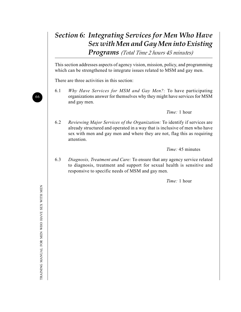## *Section 6: Integrating Services for Men Who Have Sex with Men and Gay Men into Existing Programs (Total Time 2 hours 45 minutes)*

This section addresses aspects of agency vision, mission, policy, and programming which can be strengthened to integrate issues related to MSM and gay men.

There are three activities in this section:

6.1 *Why Have Services for MSM and Gay Men?:* To have participating organizations answer for themselves why they might have services for MSM and gay men.

*Time:* 1 hour

6.2 *Reviewing Major Services of the Organization:* To identify if services are already structured and operated in a way that is inclusive of men who have sex with men and gay men and where they are not, flag this as requiring attention.

*Time:* 45 minutes

6.3 *Diagnosis, Treatment and Care:* To ensure that any agency service related to diagnosis, treatment and support for sexual health is sensitive and responsive to specific needs of MSM and gay men.

*Time:* 1 hour

66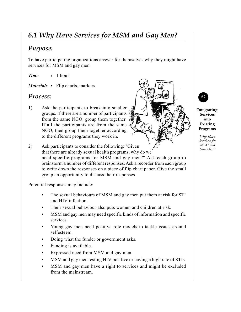# *6.1 Why Have Services for MSM and Gay Men?*

#### *Purpose:*

To have participating organizations answer for themselves why they might have services for MSM and gay men.

*Time :* 1 hour

*Materials :* Flip charts, markers

#### *Process:*

- 1) Ask the participants to break into smaller groups. If there are a number of participants from the same NGO, group them together. If all the participants are from the same NGO, then group them together according to the different programs they work in.
- 2) Ask participants to consider the following: "Given that there are already sexual health programs, why do we need specific programs for MSM and gay men?" Ask each group to brainstorm a number of different responses. Ask a recorder from each group to write down the responses on a piece of flip chart paper. Give the small group an opportunity to discuss their responses.

Potential responses may include:

- The sexual behaviours of MSM and gay men put them at risk for STI and HIV infection.
- Their sexual behaviour also puts women and children at risk.
- MSM and gay men may need specific kinds of information and specific services.
- Young gay men need positive role models to tackle issues around selfesteem.
- Doing what the funder or government asks.
- Funding is available.
- Expressed need from MSM and gay men.
- MSM and gay men testing HIV positive or having a high rate of STIs.
- MSM and gay men have a right to services and might be excluded from the mainstream.



**Integrating Services into Existing Programs**

*Why Have Services for MSM and Gay Men?*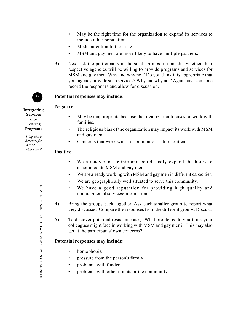- May be the right time for the organization to expand its services to include other populations.
- Media attention to the issue.
- MSM and gay men are more likely to have multiple partners.
- 3) Next ask the participants in the small groups to consider whether their respective agencies will be willing to provide programs and services for MSM and gay men. Why and why not? Do you think it is appropriate that your agency provide such services? Why and why not? Again have someone record the responses and allow for discussion.

### **Potential responses may include:**

#### **Negative**

**Integrating Services into Existing Programs**

68

*Why Have Services for MSM and Gay Men?*

- May be inappropriate because the organization focuses on work with families.
- The religious bias of the organization may impact its work with MSM and gay men.
- Concerns that work with this population is too political.

#### **Positive**

- We already run a clinic and could easily expand the hours to accommodate MSM and gay men.
- We are already working with MSM and gay men in different capacities.
- We are geographically well situated to serve this community.
- We have a good reputation for providing high quality and nonjudgmental services/information.
- 4) Bring the groups back together. Ask each smaller group to report what they discussed. Compare the responses from the different groups. Discuss.
- 5) To discover potential resistance ask, "What problems do you think your colleagues might face in working with MSM and gay men?" This may also get at the participants' own concerns?

#### **Potential responses may include:**

- homophobia
- pressure from the person's family
- problems with funder
- problems with other clients or the community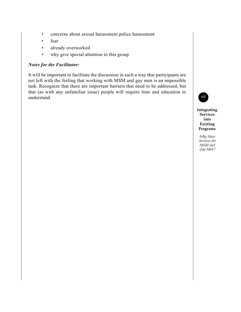- concerns about sexual harassment police harassment
- fear
- already overworked
- why give special attention to this group

#### *Notes for the Facilitator:*

It will be important to facilitate the discussion in such a way that participants are not left with the feeling that working with MSM and gay men is an impossible task. Recognize that there are important barriers that need to be addressed, but that (as with any unfamiliar issue) people will require time and education to understand.



**Integrating Services into Existing Programs**

*Why Have Services for MSM and Gay Men?*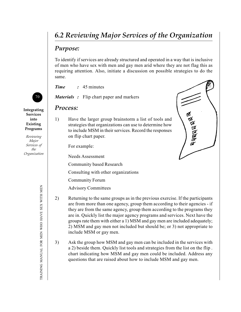# *6.2 Reviewing Major Services of the Organization*

## *Purpose:*

To identify if services are already structured and operated in a way that is inclusive of men who have sex with men and gay men arid where they are not flag this as requiring attention. Also, initiate a discussion on possible strategies to do the same.

**Ropped & R** 

*Time :* 45 minutes

*Materials :* Flip chart paper and markers

### *Process:*

1) Have the larger group brainstorm a list of tools and strategies that organizations can use to determine how to include MSM in their services. Record the responses on flip chart paper.

For example:

Needs Assessment

Community based Research

Consulting with other organizations

Community Forum

Advisory Committees

- 2) Returning to the same groups as in the previous exercise. If the participants are from more than one agency, group them according to their agencies - if they are from the same agency, group them according to the programs they are in. Quickly list the major agency programs and services. Next have the groups rate them with either a 1) MSM and gay men are included adequately; 2) MSM and gay men not included but should be; or 3) not appropriate to include MSM or gay men.
- 3) Ask the group how MSM and gay men can be included in the services with a 2) beside them. Quickly list tools and strategies from the list on the flip . chart indicating how MSM and gay men could be included. Address any questions that are raised about how to include MSM and gay men.



**Integrating Services into Existing Programs**

*Reviewing Major Services of the Organization*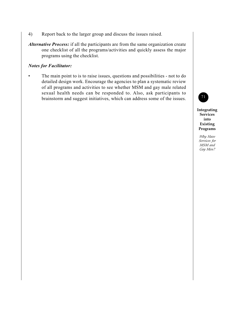- 4) Report back to the larger group and discuss the issues raised.
- *Alternative Process:* if all the participants are from the same organization create one checklist of all the programs/activities and quickly assess the major programs using the checklist.

#### *Notes for Facilitator:*

The main point to is to raise issues, questions and possibilities - not to do detailed design work. Encourage the agencies to plan a systematic review of all programs and activities to see whether MSM and gay male related sexual health needs can be responded to. Also, ask participants to brainstorm and suggest initiatives, which can address some of the issues.



**Integrating Services into Existing Programs**

*Why Have Services for MSM and Gay Men?*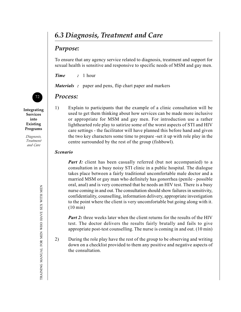# *6.3 Diagnosis, Treatment and Care*

## *Purpose:*

To ensure that any agency service related to diagnosis, treatment and support for sexual health is sensitive and responsive to specific needs of MSM and gay men.

*Time :* 1 hour

*Materials :* paper and pens, flip chart paper and markers

## *Process:*

**Integrating Services into Existing Programs**

72

*Diagnosis, Treatment and Care*

1) Explain to participants that the example of a clinic consultation will be used to get them thinking about how services can be made more inclusive or appropriate for MSM and gay men. For introduction use a rather lighthearted role play to satirize some of the worst aspects of STI and HIV care settings - the facilitator will have planned this before hand and given the two key characters some time to prepare -set it up with role play in the centre surrounded by the rest of the group (fishbowl).

#### *Scenario*

*Part I:* client has been casually referred (but not accompanied) to a consultation in a busy noisy STI clinic in a public hospital. The dialogue takes place between a fairly traditional uncomfortable male doctor and a married MSM or gay man who definitely has gonorrhea (penile - possible oral, anal) and is very concerned that he needs an HIV test. There is a busy nurse coming in and out. The consultation should show failures in sensitivity, confidentiality, counselling, information delivery, appropriate investigation to the point where the client is very uncomfortable but going along with it. (10 min)

*Part 2:* three weeks later when the client returns for the results of the HIV test. The doctor delivers the results fairly brutally and fails to give appropriate post-test counselling. The nurse is coming in and out. (10 min)

2) During the role play have the rest of the group to be observing and writing down on a checklist provided to them any positive and negative aspects of the consultation.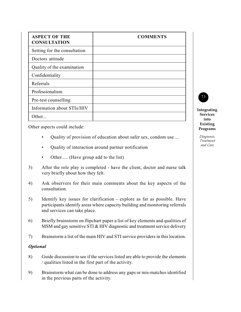| <b>ASPECT OF THE</b><br><b>CONSULTATION</b> | <b>COMMENTS</b> |
|---------------------------------------------|-----------------|
| Setting for the consultation                |                 |
| Doctors attitude                            |                 |
| Quality of the examination                  |                 |
| Confidentiality                             |                 |
| Referrals                                   |                 |
| Professionalism                             |                 |
| Pre-test counselling                        |                 |
| Information about STIs/HIV                  |                 |
| Other                                       |                 |

Other aspects could include:

- Quality of provision of education about safer sex, condom use ...
- Quality of interaction around partner notification
- Other..... (Have group add to the list)
- 3) After the role play is completed have the client, doctor and nurse talk very briefly about how they felt.
- 4) Ask observers for their main comments about the key aspects of the consultation.
- 5) Identify key issues for clarification explore as far as possible. Have participants identify areas where capacity building and monitoring referrals and services can take place.
- 6) Briefly brainstorm on flipchart paper a list of key elements and qualities of MSM and gay sensitive STI & HIV diagnostic and treatment service delivery
- 7) Brainstorm a list of the main HIV and STI service providers in this location.

#### *Optional*

- 8) Guide discussion to see if the services listed are able to provide the elements / qualities listed in the first part of the activity.
- 9) Brainstorm what can be done to address any gaps or mis-matches identified in the previous parts of the activity.

**Integrating Services into Existing Programs**

73

*Diagnosis, Treatment and Care*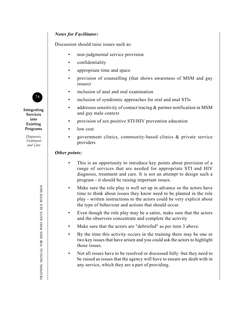#### *Notes for Facilitator:*

Discussion should raise issues such as:

- non-judgmental service provision
- confidentiality
- appropriate time and space
- provision of counselling (that shows awareness of MSM and gay issues)
- inclusion of anal and oral examination
- inclusion of syndromic approaches for oral and anal STIs
- addresses sensitivity of contact tracing & partner notification in MSM and gay male context
- provision of sex positive STI/HIV prevention education
- low cost
- government clinics, community-based clinics & private service providers

#### *Other points:*

- This is an opportunity to introduce key points about provision of a range of services that are needed for appropriate STI and HIV diagnosis, treatment and care. It is not an attempt to design such a program - it should be raising important issues.
- Make sure the role play is well set up in advance so the actors have time to think about issues they know need to be planted in the role play - written instructions to the actors could be very explicit about the type of behaviour and actions that should occur.
- Even though the role play may be a satire, make sure that the actors and the observers concentrate and complete the activity
- Make sure that the actors are "debriefed" as per item 3 above.
- By the time this activity occurs in the training there may be one or two key issues that have arisen and you could ask the actors to highlight those issues.
- Not all issues have to be resolved or discussed fully -but they need to be raised as issues that the agency will have to ensure are dealt with in any service, which they are a part of providing.

74

**Integrating Services into Existing Programs**

> *Diagnosis, Treatment and Care*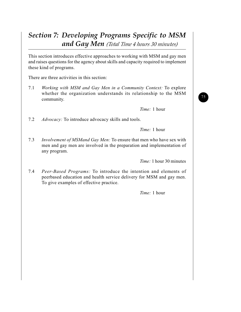# *Section 7: Developing Programs Specific to MSM and Gay Men (Total Time 4 hours 30 minutes)*

This section introduces effective approaches to working with MSM and gay men and raises questions for the agency about skills and capacity required to implement these kind of programs.

There are three activities in this section:

7.1 *Working with MSM and Gay Men in a Community Context:* To explore whether the organization understands its relationship to the MSM community.

*Time:* 1 hour

7.2 *Advocacy:* To introduce advocacy skills and tools.

*Time:* 1 hour

7.3 *Involvement of MSMand Gay Men:* To ensure that men who have sex with men and gay men are involved in the preparation and implementation of any program.

*Time:* 1 hour 30 minutes

7.4 *Peer-Based Programs:* To introduce the intention and elements of peerbased education and health service delivery for MSM and gay men. To give examples of effective practice.

*Time:* 1 hour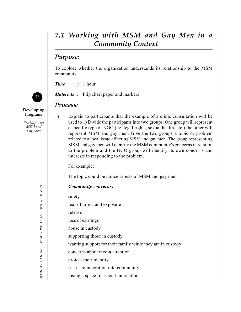# *7.1 Working with MSM and Gay Men in a Community Context*

## *Purpose:*

To explore whether the organization understands its relationship to the MSM community.

*Time :* 1 hour

*Materials :* Flip chart paper and markers

### *Process:*

1) Explain to participants that the example of a clinic consultation will be used to 1) Divide the participants into two groups. One group will represent a specific type of NGO (eg. legal rights, sexual health, etc.) the other will represent MSM and gay men. Give the two groups a topic or problem related to a local issue affecting MSM and gay men. The group representing MSM and gay men will identify the MSM community's concerns in relation to the problem and the NGO group will identify its own concerns and interests in responding to the problem.

For example:

The topic could be police arrests of MSM and gay men.

### *Community concerns:*

safety

fear of arrest and exposure

release

loss of earnings

abuse in custody

supporting those in custody

wanting support for their family while they are in custody

concerns about media attention

protect their identity

trust - reintegration into community

losing a space for social interaction



**Developing Programs**

*Working with MSM and Gay Men*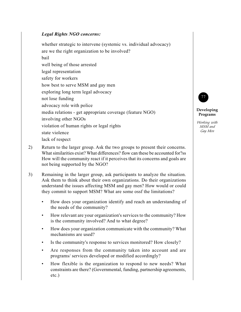#### *Legal Rights NGO concerns:*

whether strategic to intervene (systemic vs. individual advocacy) are we the right organization to be involved? bail

well being of those arrested

legal representation

safety for workers

how best to serve MSM and gay men

exploring long term legal advocacy

not lose funding

advocacy role with police

media relations - get appropriate coverage (feature NGO)

involving other NGOs

violation of human rights or legal rights

state violence

lack of respect

- 2) Return to the larger group. Ask the two groups to present their concerns. What similarities exist? What differences? flow can these be accounted for?ss How will the community react if it perceives that its concerns and goals are not being supported by the NGO?
- 3) Remaining in the larger group, ask participants to analyze the situation. Ask them to think about their own organizations. Do their organizations understand the issues affecting MSM and gay men? How would or could they commit to support MSM? What are some ossf the limitations?
	- How does your organization identify and reach an understanding of the needs of the community?
	- How relevant are your organization's services to the community? How is the community involved? And to what degree?
	- How does your organization communicate with the community? What mechanisms are used?
	- Is the community's response to services monitored? How closely?
	- Are responses from the community taken into account and are programs/ services developed or modified accordingly?
	- How flexible is the organization to respond to new needs? What constraints are there? (Governmental, funding, partnership agreements, etc.)



#### **Developing Programs**

*Working with MSM and Gay Men*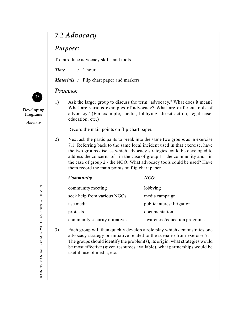# *7.2 Advocacy*

## *Purpose:*

To introduce advocacy skills and tools.

*Time :* 1 hour

*Materials :* Flip chart paper and markers

### *Process:*

1) Ask the larger group to discuss the term "advocacy." What does it mean? What are various examples of advocacy? What are different tools of advocacy? (For example, media, lobbying, direct action, legal case, education, etc.)

Record the main points on flip chart paper.

2) Next ask the participants to break into the same two groups as in exercise 7.1. Referring back to the same local incident used in that exercise, have the two groups discuss which advocacy strategies could be developed to address the concerns of - in the case of group 1 - the community and - in the case of group 2 - the NGO. What advocacy tools could be used? Have them record the main points on flip chart paper.

| <b>Community</b>               | NGO                          |
|--------------------------------|------------------------------|
| community meeting              | lobbying                     |
| seek help from various NGOs    | media campaign               |
| use media                      | public interest litigation   |
| protests                       | documentation                |
| community security initiatives | awareness/education programs |

3) Each group will then quickly develop a role play which demonstrates one advocacy strategy or initiative related to the scenario from exercise 7.1. The groups should identify the problem(s), its origin, what strategies would be most effective (given resources available), what partnerships would be useful, use of media, etc.



**Developing Programs**

*Advocacy*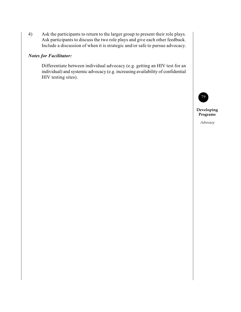4) Ask the participants to return to the larger group to present their role plays. Ask participants to discuss the two role plays and give each other feedback. Include a discussion of when it is strategic and/or safe to pursue advocacy.

#### *Notes for Facilitator:*

Differentiate between individual advocacy (e.g. getting an HIV test for an individual) and systemic advocacy (e.g. increasing availability of confidential HIV testing sites).



**Developing Programs**

*Advocacy*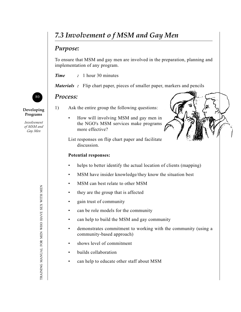# *7.3 Involvement o f MSM and Gay Men*

## *Purpose:*

To ensure that MSM and gay men are involved in the preparation, planning and implementation of any program.

*Time :* 1 hour 30 minutes

*Materials* : Flip chart paper, pieces of smaller paper, markers and pencils

## *Process:*

- 1) Ask the entire group the following questions:
	- How will involving MSM and gay men in the NGO's MSM services make programs more effective?

List responses on flip chart paper and facilitate discussion.

### **Potential responses:**

- helps to better identify the actual location of clients (mapping)
- MSM have insider knowledge/they know the situation best
- MSM can best relate to other MSM
- they are the group that is affected
- gain trust of community
- can be role models for the community
- can help to build the MSM and gay community
- demonstrates commitment to working with the community (using a community-based approach)
- shows level of commitment
- builds collaboration
- can help to educate other staff about MSM



**Developing Programs**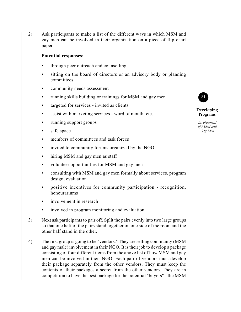2) Ask participants to make a list of the different ways in which MSM and gay men can be involved in their organization on a piece of flip chart paper.

#### **Potential responses:**

- through peer outreach and counselling
- sitting on the board of directors or an advisory body or planning committees
- community needs assessment
- running skills building or trainings for MSM and gay men
- targeted for services invited as clients
- assist with marketing services word of mouth, etc.
- running support groups
- safe space
- members of committees and task forces
- invited to community forums organized by the NGO
- hiring MSM and gay men as staff
- volunteer opportunities for MSM and gay men
- consulting with MSM and gay men formally about services, program design, evaluation
- positive incentives for community participation recognition, honourariums
- involvement in research
- involved in program monitoring and evaluation
- 3) Next ask participants to pair off. Split the pairs evenly into two large groups so that one half of the pairs stand together on one side of the room and the other half stand in the other.
- 4) The first group is going to be "vendors." They are selling community (MSM and gay male) involvement in their NGO. It is their job to develop a package consisting of four different items from the above list of how MSM and gay men can be involved in their NGO. Each pair of vendors must develop their package separately from the other vendors. They must keep the contents of their packages a secret from the other vendors. They are in competition to have the best package for the potential "buyers" - the MSM



#### **Developing Programs**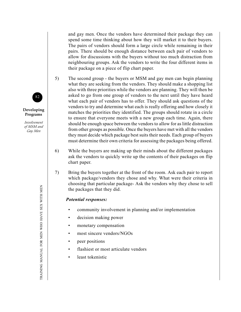and gay men. Once the vendors have determined their package they can spend some time thinking about how they will market it to their buyers. The pairs of vendors should form a large circle while remaining in their pairs. There should be enough distance between each pair of vendors to allow for discussions with the buyers without too much distraction from neighbouring groups. Ask the vendors to write the four different items in their package on a piece of flip chart paper.

- 5) The second group the buyers or MSM and gay men can begin planning what they are seeking from the vendors. They should make a shopping list also with three priorities while the vendors are planning. They will then be asked to go from one group of vendors to the next until they have heard what each pair of vendors has to offer. They should ask questions of the vendors to try and determine what each is really offering and how closely it matches the priorities they identified. The groups should rotate in a circle to ensure that everyone meets with a new group each time. Again, there should be enough space between the vendors to allow for as little distraction from other groups as possible. Once the buyers have met with all the vendors they must decide which package best suits their needs. Each group of buyers must determine their own criteria for assessing the packages being offered.
- 6) While the buyers are making up their minds about the different packages ask the vendors to quickly write up the contents of their packages on flip chart paper.
- 7) Bring the buyers together at the front of the room. Ask each pair to report which package/vendors they chose and why. What were their criteria in choosing that particular package- Ask the vendors why they chose to sell the packages that they did.

#### *Potential responses:*

- community involvement in planning and/or implementation
- decision making power
- monetary compensation
- most sincere vendors/NGOs
- peer positions
- flashiest or most articulate vendors
- least tokenistic



**Developing Programs**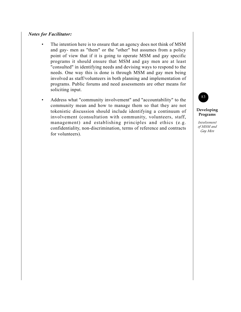#### *Notes for Facilitator:*

- The intention here is to ensure that an agency does not think of MSM and gay- men as "them" or the "other" but assumes from a policy point of view that if it is going to operate MSM and gay specific programs it should ensure that MSM and gay men are at least "consulted" in identifying needs and devising ways to respond to the needs. One way this is done is through MSM and gay men being involved as staff/volunteers in both planning and implementation of programs. Public forums and need assessments are other means for soliciting input.
- Address what "community involvement" and "accountability" to the community mean and how to manage them so that they are not tokenistic discussion should include identifying a continuum of involvement (consultation with community, volunteers, staff, management) and establishing principles and ethics (e.g. confidentiality, non-discrimination, terms of reference and contracts for volunteers).



#### **Developing Programs**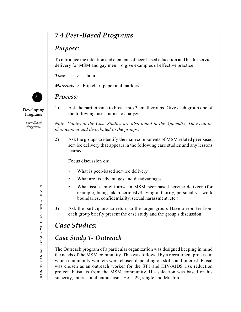# *7.4 Peer-Based Programs*

## *Purpose:*

To introduce the intention and elements of peer-based education and health service delivery for MSM and gay men. To give examples of effective practice.

*Time :* 1 hour

*Materials :* Flip chart paper and markers

## *Process:*

1) Ask the participants to break into 3 small groups. Give cach group one of the following :ase studies to analyze.

*Note: Copies of the Case Studies are also found in the Appendix. They can be photocopied and distributed to the groups.*

2) Ask the groups to identify the main components of MSM related peerbased service delivery that appears in the following case studies and any lessons learned.

Focus discussion on:

- What is peer-based service delivery
- What are its advantages and disadvantages
- What issues might arise in MSM peer-based service delivery (for example, being taken seriously/having authority, personal vs. work boundaries, confidentiality, sexual harassment, etc.)
- 3) Ask the participants to return to the larger group. Have a reporter from each group briefly present the case study and the group's discussion.

# *Case Studies:*

# *Case Study 1- Outreach*

The Outreach program of a particular organization was designed keeping in mind the needs of the MSM community. This was followed by a recruitment process in which community workers were chosen depending on skills and interest. Faisal was chosen as an outreach worker for the ST1 and HIV/AIDS risk reduction project. Faisal is from the MSM community. His selection was based on his sincerity, interest and enthusiasm. He is 29, single and Muslim.



**Developing Programs**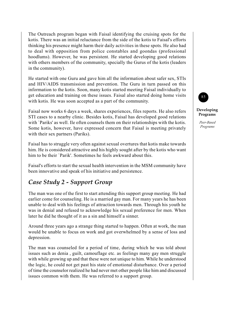The Outreach program began with Faisal identifying the cruising spots for the kotis. There was an initial reluctance from the side of the kotis to Faisal's efforts thinking his presence might harm their daily activities in these spots. He also had to deal with opposition from police constables and goondas (professional hoodlums). However, he was persistent. He started developing good relations with others members of the community, specially the Gurus of the kotis (leaders in the community).

He started with one Guru and gave him all the information about safer sex, STIs and HIV/AIDS transmission and prevention. The Guru in turn passed on this information to the kotis. Soon, many kotis started meeting Faisal individually to get education and training on these issues. Faisal also started doing home visits with kotis. He was soon accepted as a part of the community.

Faisal now works 6 days a week, shares experiences, files reports. He also refers STI cases to a nearby clinic. Besides kotis, Faisal has developed good relations with `Pariks' as well. Ile often counsels them on their relationships with the kotis. Some kotis, however, have expressed concern that Faisal is meeting privately with their sex partners (Pariks).

Faisal has to struggle very often against sexual overtures that kotis make towards him. He is considered attractive and his highly sought after by the kotis who want him to be their `Parik'. Sometimes he feels awkward about this.

Faisal's efforts to start the sexual health intervention in the MSM community have been innovative and speak of his initiative and persistence.

# *Case Study 2 - Support Group*

The man was one of the first to start attending this support group meeting. He had earlier come for counseling. He is a married gay man. For many years he has been unable to deal with his feelings of attraction towards men. Through his youth he was in denial and refused to acknowledge his sexual preference for men. When later he did he thought of it as a sin and himself a sinner.

Around three years ago a strange thing started to happen. Often at work, the man would be unable to focus on work and got overwhelmed by a sense of loss and depression.

The man was counseled for a period of time, during which he was told about issues such as denia , guilt, camouflage etc. as feelings many gay men struggle with while growing up and that these were not unique to him. While he understood the logic, he could not get past his state of emotional disturbance. Over a period of time the counselor realized he had never met other people like him and discussed issues common with them. He was referred to a support group.

85 **Developing**

> *Peer-Based Programs*

**Programs**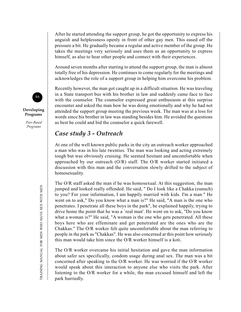After he started attending the support group, he got the opportunity to express his anguish and helplessness openly in front of other gay men. This eased off the pressure a bit. He gradually became a regular and active member of the group. He takes the meetings very seriously and uses them as an opportunity to express himself, as also to hear other people and connect with their experiences.

Around seven months after starting to attend the support group, the man is almost totally free of his depression. He continues to come regularly for the meetings and acknowledges the role of a support group in helping him overcome his problem.

Recently however, the man got caught up in a difficult situation. He was traveling in a State transport bus with his brother in law and suddenly came face to face with the counselor. The counselor expressed great enthusiasm at this surprise encounter and asked the man how he was doing emotionally and why he had not attended the support group meeting the previous week. The man was at a loss for words since his brother in law was standing besides him. He avoided the questions as best he could and bid the counselor a quick farewell.

## *Case study 3 - Outreach*

At one of the well known public parks in the city an outreach worker approached a man who was in his late twenties. The man was looking and acting extremely tough but was obviously cruising. He seemed hesitant and uncomfortable when approached by our outreach  $(O/R)$  staff. The  $O/R$  worker started initiated a discussion with this man and the conversation slowly drifted to the subject of homosexuality.

The O/R staff asked the man if he was homosexual. At this suggestion, the man jumped and looked really offended. He said, " Do I look like a Chakka (eunuch) to you? For your information, I am happily married with kids. I'm a man." He went on to ask," Do you know what a man is?" He said, "A man is the one who penetrates. I penetrate all these boys in the park", he explained happily, trying to drive home the point that he was a `real man'. He went on to ask, "Do you know what a woman is?" He said, "A woman is the one who gets penetrated. All these boys here who are effeminate and get penetrated are the ones who are the Chakkas." The O/R worker felt quite uncomfortable about the man referring to people in the park as "Chakkas". He was also concerned at this point how seriously this man would take him since the O/R worker himself is a koti.

The O/R worker overcame his initial hesitation and gave the man information about safer sex specifically, condom usage during anal sex. The man was a bit concerned after speaking to the O/R worker. He was worried if the O/R worker would speak about this interaction to anyone else who visits the park. After listening to the O/R worker for a while, the man excused himself and left the park hurriedly.



**Developing Programs**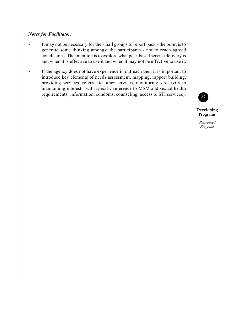#### *Notes for Facilitator:*

- It may not be necessary for the small groups to report back the point is to generate some thinking amongst the participants - not to reach agreed conclusions. The intention is to explore what peer-based service delivery is and when it is effective to use it and when it may not be effective to use it.
- If the agency does not have experience in outreach then it is important to introduce key elements of needs assessment, mapping, rapport building, providing services, referral to other services, monitoring, creativity in maintaining interest - with specific reference to MSM and sexual health requirements (information, condoms, counseling, access to STI services).



**Developing Programs**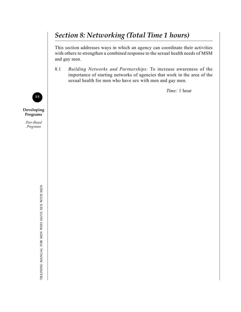# *Section 8: Networking (Total Time 1 hours)*

This section addresses ways in which an agency can coordinate their activities with others to strengthen a combined response to the sexual health needs of MSM and gay men.

8.1 *Building Networks and Partnerships:* To increase awareness of the importance of starting networks of agencies that work in the area of the sexual health for men who have sex with men and gay men.

*Time:* 1 hour



**Developing Programs**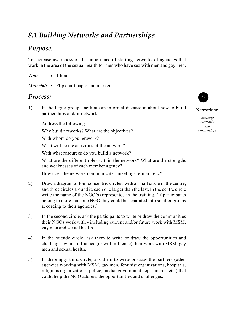# *8.1 Building Networks and Partnerships*

# *Purpose:*

To increase awareness of the importance of starting networks of agencies that work in the area of the sexual health for men who have sex with men and gay men.

*Time :* 1 hour

*Materials :* Flip chart paper and markers

## *Process:*

1) In the larger group, facilitate an informal discussion about how to build partnerships and/or network.

Address the following:

Why build networks? What are the objectives?

With whom do you network?

What will be the activities of the network?

With what resources do you build a network?

What are the different roles within the network? What are the strengths and weaknesses of each member agency?

How does the network communicate - meetings, e-mail, etc.?

- 2) Draw a diagram of four concentric circles, with a small circle in the centre, and three circles around it, each one larger than the last. In the centre circle write the name of the NGO(s) represented in the training. (If participants belong to more than one NGO they could be separated into smaller groups according to their agencies.)
- 3) In the second circle, ask the participants to write or draw the communities their NGOs work with - including current and/or future work with MSM, gay men and sexual health.
- 4) In the outside circle, ask them to write or draw the opportunities and challenges which influence (or will influence) their work with MSM, gay men and sexual health.
- 5) In the empty third circle, ask them to write or draw the partners (other agencies working with MSM, gay men, feminist organizations, hospitals, religious organizations, police, media, government departments, etc.) that could help the NGO address the opportunities and challenges.



#### **Networking**

*Building Networks and Partnerships*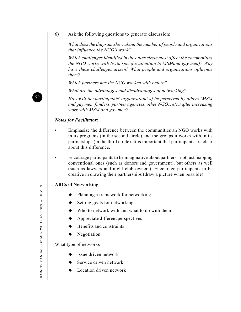6) Ask the following questions to generate discussion:

*What does the diagram show about the number of people and organizations that influence the NGO's work?*

*Which challenges identified in the outer circle most affect the communities the NGO works with (with specific attention to MSMand gay men)? Why have these challenges arisen? What people and organizations influence them?*

*Which partners has the NGO worked with before?*

*What are the advantages and disadvantages of networking?*

*How will the participants' organization( s) be perceived by others (MSM and gay men, funders, partner agencies, other NGOs, etc.) after increasing work with MSM and gay men?*

#### *Notes for Facilitator:*

- Emphasize the difference between the communities an NGO works with in its programs (in the second circle) and the groups it works with in its partnerships (in the third circle). It is important that participants are clear about this difference.
- Encourage participants to be imaginative about partners not just mapping conventional ones (such as donors and government), but others as well (such as lawyers and night club owners). Encourage participants to be creative in drawing their partnerships (draw a picture when possible).

#### **ABCs of Networking**

- Planning a framework for networking
- Setting goals for networking
- Who to network with and what to do with them
- Appreciate different perspectives
- Benefits and constraints
- Negotiation

What type of networks

- Issue driven network
- Service driven network
- $\blacklozenge$  Location driven network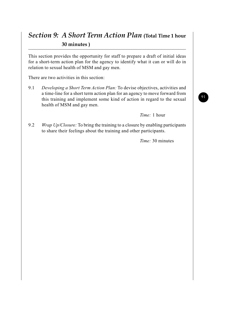# *Section 9: A Short Term Action Plan* **(Total Time 1 hour 30 minutes )**

This section provides the opportunity for staff to prepare a draft of initial ideas for a short-term action plan for the agency to identify what it can or will do in relation to sexual health of MSM and gay men.

There are two activities in this section:

9.1 *Developing a Short Term Action Plan:* To devise objectives, activities and a time-line for a short term action plan for an agency to move forward from this training and implement some kind of action in regard to the sexual health of MSM and gay men.

*Time:* 1 hour

9.2 *Wrap Up/Closure:* To bring the training to a closure by enabling participants to share their feelings about the training and other participants.

*Time:* 30 minutes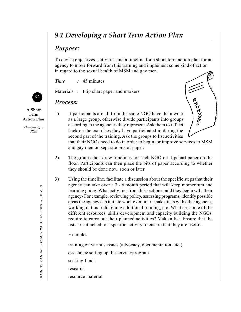# *9.1 Developing a Short Term Action Plan*

## *Purpose:*

To devise objectives, activities and a timeline for a short-term action plan for an agency to move forward from this training and implement some kind of action in regard to the sexual health of MSM and gay men.

*Time :* 45 minutes

Materials : Flip chart paper and markers

## *Process:*

**A Short Term Action Plan**

92

*Developing a Plan*



that their NGOs need to do in order to begin. or improve services to MSM and gay men on separate bits of paper.

- 2) The groups then draw timelines for each NGO on flipchart paper on the floor. Participants can then place the bits of paper according to whether they should be done now, soon or later.
- 3) Using the timeline, facilitate a discussion about the specific steps that their agency can take over a 3 - 6 month period that will keep momentum and learning going. What activities from this section could they begin with their agency- For example, reviewing policy, assessing programs, identify possible areas the agency can initiate work over time - make links with other agencies working in this field, doing additional training, etc. What are some of the different resources, skills development and capacity building the NGOs' require to carry out their planned activities? Make a list. Ensure that the lists are attached to a specific activity to ensure that they are useful.

Examples:

training on various issues (advocacy, documentation, etc.) assistance setting up the service/program seeking funds

research

resource material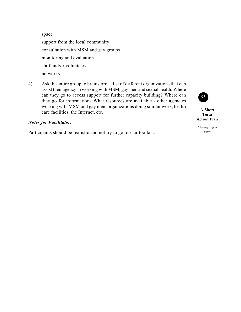space support from the local community consultation with MSM and gay groups monitoring and evaluation staff and/or volunteers networks

4) Ask the entire group to brainstorm a list of different organizations that can assist their agency in working with MSM, gay men and sexual health. Where can they go to access support for further capacity building? Where can they go for information? What resources are available - other agencies working with MSM and gay men, organizations doing similar work, health care facilities, the Internet, etc.

#### *Notes for Facilitator:*

Participants should be realistic and not try to go too far too fast.

93

**A Short Term Action Plan**

*Developing a Plan*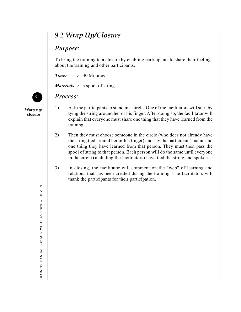# *9.2 Wrap Up/Closure*

## *Purpose:*

To bring the training to a closure by enabling participants to share their feelings about the training and other participants.

*Time: :* 30 Minutes

*Materials :* a spool of string

## *Process:*

**Warp up/ closure**

- 1) Ask the participants to stand in a circle. One of the facilitators will start by tying the string around her or his finger. After doing so, the facilitator will explain that everyone must share one thing that they have learned from the training.
- 2) Then they must choose someone in the circle (who does not already have the string tied around her or his finger) and say the participant's name and one thing they have learned from that person. They must then pass the spool of string to that person. Each person will do the same until everyone in the circle (including the facilitators) have tied the string and spoken.
- 3) In closing, the facilitator will comment on the "web" of learning and relations that has been created during the training. The facilitators will thank the participants for their participation.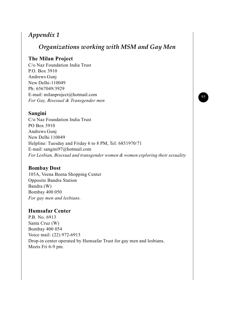# *Appendix 1*

# *Organizations working with MSM and Gay Men*

### **The Milan Project**

C/o Naz Foundation India Trust P.O. Box 3910 Andrews Gunj New Delhi-110049 Ph: 6567049/3929 E-mail: milanproject@hotmail.com *For Gay, Bisexual & Transgender men*

### **Sangini**

C/o Naz Foundation India Trust PO Box 3910 Andrews Gunj New Delhi 110049 Helpline: Tuesday and Friday 6 to 8 PM, Tel: 6851970/71 E-mail: sangini97@hotmail.com *For Lesbian, Bisexual and transgender women & women exploring their sexuality*

### **Bombay Dost**

105A, Veena Beena Shopping Center Opposite Bandra Station Bandra (W) Bombay 400 050 *For gay men and lesbians.*

### **Humsafar Center**

P.B. No. 6913 Santa Cruz (W) Bombay 400 054 Voice mail: (22) 972-6913 Drop-in center operated by Humsafar Trust for gay men and lesbians. Meets Fri 6-9 pm.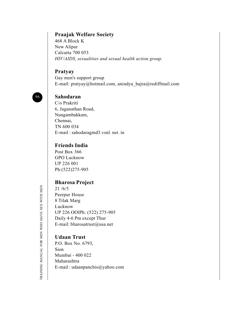### **Praajak Welfare Society**

468 A Block K New Alipur Calcutta 700 053 *HIV/AIDS, sexualities and sexual health action group.*

### **Pratyay**

Gay men's support group E-mail: pratyay@hotmail.com, anindya\_hajra@rediffmail.com



## **Sahodaran**

C/o Prakriti 6, Jaganathan Road, Nungambakkam, Chennai, TN 600 034 E-mail : sahodaragmd3.vsnl. net. in

### **Friends India**

Post Box 366 GPO Lucknow UP 226 001 Ph:(522)275-905

### **Bharosa Project**

21 /6/5 Peerpur House 8 Tilak Marg Lucknow UP 226 OOlPh: (522) 275-905 Daily 4-6 Pm except Thur E-mail: bharosatrust@usa.net

## **Udaan Trust**

P.O. Box No. 6793, Sion Mumbai - 400 022 Maharashtra E-mail : udaanpanchis@yahoo.com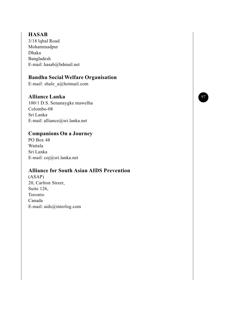### **HASAB**

3/18 lqbal Road Mohammadpur Dhaka Bangladesh E-mail: hasab@bdmail.net

### **Bandhu Social Welfare Organisation**

E-mail: shale\_a@hotmail.com

## **Alliance Lanka**

100/1 D.S. Senanaygke mawelha Colombo-08 Sri Lanka E-mail: alliance@sri.lanka.net

## **Companions On a Journey**

PO Box 48 Wattala Sri Lanka E-mail: coj@sri.lanka.net

## **Alliance for South Asian AIDS Prevention**

(ASAP) 20, Carlton Street, Suite 126, Toronto Canada E-mail: aids@interlog.com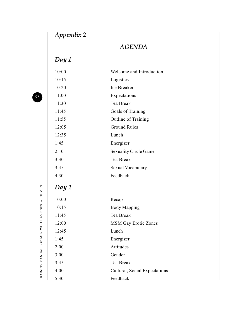# *Appendix 2*

# *AGENDA*

# *Day 1*

| 10:00 | Welcome and Introduction      |
|-------|-------------------------------|
| 10:15 | Logistics                     |
| 10:20 | Ice Breaker                   |
| 11:00 | Expectations                  |
| 11:30 | Tea Break                     |
| 11:45 | Goals of Training             |
| 11:55 | Outline of Training           |
| 12:05 | <b>Ground Rules</b>           |
| 12:35 | Lunch                         |
| 1:45  | Energizer                     |
| 2:10  | <b>Sexuality Circle Game</b>  |
| 3:30  | Tea Break                     |
| 3:45  | Sexual Vocabulary             |
| 4:30  | Feedback                      |
| Day 2 |                               |
| 10:00 | Recap                         |
| 10:15 | <b>Body Mapping</b>           |
| 11:45 | Tea Break                     |
| 12:00 | <b>MSM Gay Erotic Zones</b>   |
| 12:45 | Lunch                         |
| 1:45  | Energizer                     |
| 2:00  | Attitudes                     |
| 3:00  | Gender                        |
| 3:45  | Tea Break                     |
| 4:00  | Cultural, Social Expectations |
| 5:30  | Feedback                      |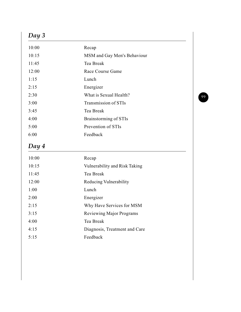# *Day 3*

| 10:00 | Recap                        |
|-------|------------------------------|
| 10:15 | MSM and Gay Men's Behaviour  |
| 11:45 | Tea Break                    |
| 12:00 | Race Course Game             |
| 1:15  | Lunch                        |
| 2:15  | Energizer                    |
| 2:30  | What is Sexual Health?       |
| 3:00  | Transmission of STIs         |
| 3:45  | Tea Break                    |
| 4:00  | <b>Brainstorming of STIs</b> |
| 5:00  | Prevention of STIs           |
| 6:00  | Feedback                     |
|       |                              |

# *Day 4*

| 10:00 | Recap                           |
|-------|---------------------------------|
| 10:15 | Vulnerability and Risk Taking   |
| 11:45 | Tea Break                       |
| 12:00 | Reducing Vulnerability          |
| 1:00  | Lunch                           |
| 2:00  | Energizer                       |
| 2:15  | Why Have Services for MSM       |
| 3:15  | <b>Reviewing Major Programs</b> |
| 4:00  | Tea Break                       |
| 4:15  | Diagnosis, Treatment and Care   |
| 5:15  | Feedback                        |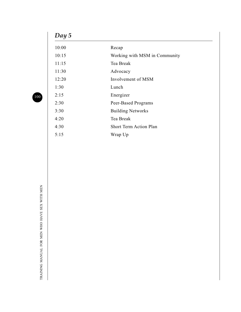# *Day 5*

| 10:00 | Recap                         |
|-------|-------------------------------|
| 10:15 | Working with MSM in Community |
| 11:15 | Tea Break                     |
| 11:30 | Advocacy                      |
| 12:20 | Involvement of MSM            |
| 1:30  | Lunch                         |
| 2:15  | Energizer                     |
| 2:30  | Peer-Based Programs           |
| 3:30  | <b>Building Networks</b>      |
| 4:20  | Tea Break                     |
| 4:30  | <b>Short Term Action Plan</b> |
| 5:15  | Wrap Up                       |
|       |                               |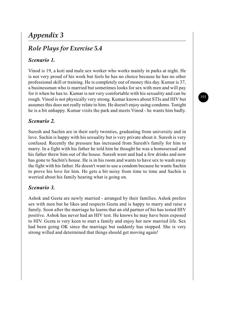# *Appendix 3*

# *Role Plays for Exercise 5.4*

### *Scenario 1.*

Vinod is 19, a koti and male sex worker who works mainly in parks at night. He is not very proud of his work but feels he has no choice because he has no other professional skill or training. He is completely out of money this day. Kumar is 37, a businessman who is married but sometimes looks for sex with men and will pay for it when he has to. Kumar is not very comfortable with his sexuality and can be rough. Vinod is not physically very strong. Kumar knows about STIs and HIV but assumes this does not really relate to him. He doesn't enjoy using condoms. Tonight he is a bit unhappy. Kumar visits the park and meets Vinod - he wants him badly.

### *Scenario 2.*

Suresh and Sachin are in their early twenties, graduating from university and in love. Sachin is happy with his sexuality but is very private about it. Suresh is very confused. Recently the pressure has increased from Suresh's family for him to marry. In a fight with his father he told him he thought he was a homosexual and his father threw him out of the house. Suresh went and had a few drinks and now has gone to Sachin's house. He is in his room and wants to have sex to wash away the fight with his father. He doesn't want to use a condom because he wants Sachin to prove his love for him. He gets a bit noisy from time to time and Sachin is worried about his family hearing what is going on.

### *Scenario 3.*

Ashok and Geeta are newly married - arranged by their families. Ashok prefers sex with men but he likes and respects Geeta and is happy to marry and raise a family. Soon after the marriage he learns that an old partner of his has tested HIV positive. Ashok has never had an HIV test. He knows he may have been exposed to HIV. Gceta is very keen to start a family and enjoy her new married life. Sex had been going OK since the marriage but suddenly has stopped. She is very strong willed and determined that things should get moving again!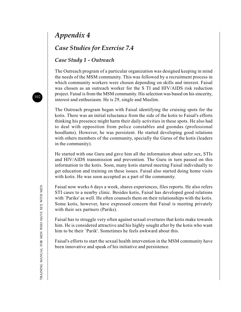# *Appendix 4*

## *Case Studies for Exercise 7.4*

### *Case Study 1 - Outreach*

The Outreach program of a particular organization was designed keeping in mind the needs of the MSM community. This was followed by a recruitment process in which community workers were chosen depending on skills and interest. Faisal was chosen as an outreach worker for the S TI and HIV/AIDS risk reduction project. Faisal is from the MSM community. His selection was based on his sincerity, interest and enthusiasm. He is 29, single and Muslim.

The Outreach program began with Faisal identifying the cruising spots for the kotis. There was an initial reluctance from the side of the kotis to Faisal's efforts thinking his presence might harm their daily activities in these spots. He also had to deal with opposition from police constables and goondas (professional hoodlums). However, he was persistent. He started developing good relations with others members of the community, specially the Gurus of the kotis (leaders in the community).

He started with one Guru and gave him all the information about safer sex, STIs and HIV/AIDS transmission and prevention. The Guru in turn passed on this information to the kotis. Soon, many kotis started meeting Faisal individually to get education and training on these issues. Faisal also started doing home visits with kotis. He was soon accepted as a part of the community.

Faisal now works 6 days a week, shares experiences, files reports. He also refers STI cases to a nearby clinic. Besides kotis, Faisal has developed good relations with `Pariks' as well. He often counsels them on their relationships with the kotis. Some kotis, however, have expressed concern that Faisal is meeting privately with their sex partners (Pariks).

Faisal has to struggle very often against sexual overtures that kotis make towards him. He is considered attractive and his highly sought after by the kotis who want him to be their `Parik'. Sometimes he feels awkward about this.

Faisal's efforts to start the sexual health intervention in the MSM community have been innovative and speak of his initiative and persistence.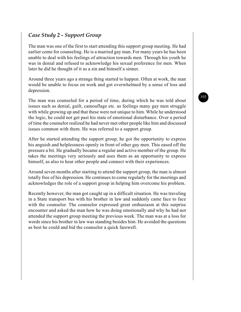### *Case Study 2 - Support Group*

The man was one of the first to start attending this support group meeting. He had earlier come for counseling. He is a married gay man. For many years he has been unable to deal with his feelings of attraction towards men. Through his youth he was in denial and refused to acknowledge his sexual preference for men. When later he did he thought of it as a sin and himself a sinner.

Around three years ago a strange thing started to happen. Often at work, the man would be unable to focus on work and got overwhelmed by a sense of loss and depression.

The man was counseled for a period of time, during which he was told about issues such as denial, guilt, camouflage etc. as feelings many gay men struggle with while growing up and that these were not unique to him. While he understood the logic, he could not get past his state of emotional disturbance. Over a period of time the counselor realized he had never met other people like him and discussed issues common with them. He was referred to a support group.

After he started attending the support group, he got the opportunity to express his anguish and helplessness openly in front of other gay men. This eased off the pressure a bit. He gradually became a regular and active member of the group. He takes the meetings very seriously and uses them as an opportunity to express himself, as also to hear other people and connect with their experiences.

Around seven months after starting to attend the support group, the man is almost totally free of his depression. He continues to come regularly for the meetings and acknowledges the role of a support group in helping him overcome his problem.

Recently however, the man got caught up in a difficult situation. He was traveling in a State transport bus with his brother in law and suddenly came face to face with the counselor. The counselor expressed great enthusiasm at this surprise encounter and asked the man how he was doing emotionally and why he had not attended the support group meeting the previous week. The man was at a loss for words since his brother in law was standing besides him. He avoided the questions as best he could and bid the counselor a quick farewell.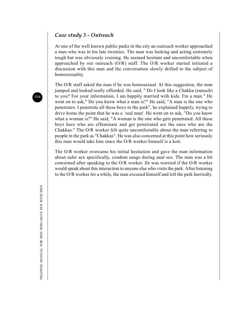#### *Case study 3 - Outreach*

At one of the well known public parks in the city an outreach worker approached a man who was in his late twenties. The man was looking and acting extremely tough but was obviously cruising. He seemed hesitant and uncomfortable when approached by our outreach (O/R) staff. The O/R worker started initiated a discussion with this man and the conversation slowly drifted to the subject of homosexuality.

The O/R staff asked the man if he was homosexual. At this suggestion, the man jumped and looked really offended. He said, " Do I look like a Chakka (eunuch) to you? For your information, I am happily married with kids. I'm a man." He went on to ask," Do you know what a man is?" He said, "A man is the one who penetrates. I penetrate all these boys in the park", he explained happily, trying to drive home the point that he was a `real man'. He went on to ask, "Do you know what a woman is?" He said, "A woman is the one who gets penetrated. All these boys here who are effeminate and get penetrated are the ones who are the Chakkas." The O/R worker felt quite uncomfortable about the man referring to people in the park as "Chakkas". He was also concerned at this point how seriously this man would take him since the O/R worker himself is a koti.

The O/R worker overcame his initial hesitation and gave the man information about safer sex specifically, condom usage during anal sex. The man was a bit concerned after speaking to the O/R worker. Ile was worried if the O/R worker would speak about this interaction to anyone else who visits the park. After listening to the O/R worker for a while, the man excused himself and left the park hurriedly.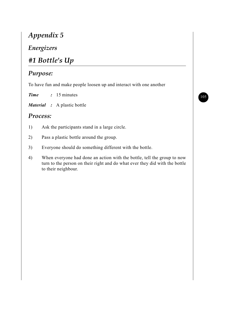# *Appendix 5*

## *Energizers*

# *#1 Bottle's Up*

## *Purpose:*

To have fun and make people loosen up and interact with one another

*Time :* 15 minutes

*Material :* A plastic bottle

### *Process:*

- 1) Ask the participants stand in a large circle.
- 2) Pass a plastic bottle around the group.
- 3) Everyone should do something different with the bottle.
- 4) When everyone had done an action with the bottle, tell the group to now turn to the person on their right and do what ever they did with the bottle to their neighbour.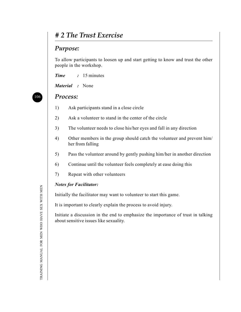## *# 2 The Trust Exercise*

### *Purpose:*

To allow participants to loosen up and start getting to know and trust the other people in the workshop.

*Time :* 15 minutes

*Material :* None

#### *Process:*

- 1) Ask participants stand in a close circle
- 2) Ask a volunteer to stand in the center of the circle
- 3) The volunteer needs to close his/her eyes and fall in any direction
- 4) Other members in the group should catch the volunteer and prevent him/ her from falling
- 5) Pass the volunteer around by gently pushing him/her in another direction
- 6) Continue until the volunteer feels completely at ease doing this
- 7) Repeat with other volunteers

#### *Notes for Facilitator:*

Initially the facilitator may want to volunteer to start this game.

It is important to clearly explain the process to avoid injury.

Initiate a discussion in the end to emphasize the importance of trust in talking about sensitive issues like sexuality.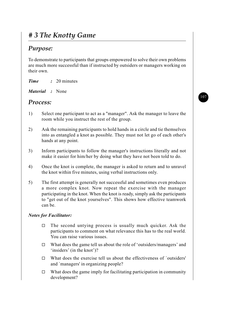# *# 3 The Knotty Game*

## *Purpose:*

To demonstrate to participants that groups empowered to solve their own problems are much more successful than if instructed by outsiders or managers working on their own.

| 20 minutes |
|------------|
|            |

| Material |  | None |
|----------|--|------|
|----------|--|------|

### *Process:*

- 1) Select one participant to act as a "manager". Ask the manager to leave the room while you instruct the rest of the group.
- 2) Ask the remaining participants to hold hands in a circle and tie themselves into as entangled a knot as possible. They must not let go of each other's hands at any point.
- 3) Inform participants to follow the manager's instructions literally and not make it easier for him/her by doing what they have not been told to do.
- 4) Once the knot is complete, the manager is asked to return and to unravel the knot within five minutes, using verbal instructions only.
- 5) The first attempt is generally not successful and sometimes even produces a more complex knot. Now repeat the exercise with the manager participating in the knot. When the knot is ready, simply ask the participants to "get out of the knot yourselves". This shows how effective teamwork can be.

#### *Notes for Facilitator:*

- $\Box$  The second untying process is usually much quicker. Ask the participants to comment on what relevance this has to the real world. You can raise various issues.
- $\Box$  What does the game tell us about the role of 'outsiders/managers' and 'insiders' (in the knot')?
- $\Box$  What does the exercise tell us about the effectiveness of `outsiders' and `managers' in organizing people?
- $\Box$  What does the game imply for facilitating participation in community development?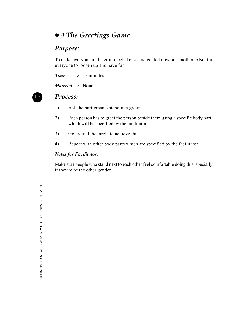# *# 4 The Greetings Game*

### *Purpose:*

To make everyone in the group feel at ease and get to know one another. Also, for everyone to loosen up and have fun.

*Time :* 15 minutes

*Material :* None

### *Process:*

- 1) Ask the participants stand in a group.
- 2) Each person has to greet the person beside them using a specific body part, which will be specified by the facilitator.
- 3) Go around the circle to achieve this.
- 4) Repeat with other body parts which are specified by the facilitator

#### *Notes for Facilitator:*

Make sure people who stand next to each other feel comfortable doing this, specially if they're of the other gender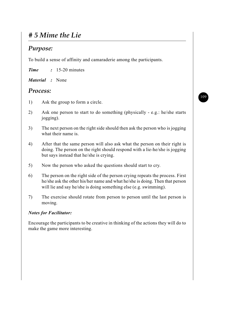# *# 5 Mime the Lie*

## *Purpose:*

To build a sense of affinity and camaraderie among the participants.

*Time :* 15-20 minutes

*Material :* None

### *Process:*

- 1) Ask the group to form a circle.
- 2) Ask one person to start to do something (physically e.g.: he/she starts jogging).
- 3) The next person on the right side should then ask the person who is jogging what their name is.
- 4) After that the same person will also ask what the person on their right is doing. The person on the right should respond with a lie-he/she is jogging but says instead that he/she is crying.
- 5) Now the person who asked the questions should start to cry.
- 6) The person on the right side of the person crying repeats the process. First he/she ask the other his/her name and what he/she is doing. Then that person will lie and say he/she is doing something else (e.g. swimming).
- 7) The exercise should rotate from person to person until the last person is moving.

#### *Notes for Facilitator:*

Encourage the participants to be creative in thinking of the actions they will do to make the game more interesting.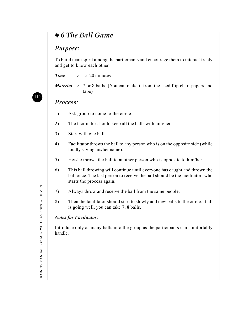# *# 6 The Ball Game*

## *Purpose:*

To build team spirit among the participants and encourage them to interact freely and get to know each other.

*Time :* 15-20 minutes

*Material* : 7 or 8 balls. (You can make it from the used flip chart papers and tape)

### *Process:*

- 1) Ask group to come to the circle.
- 2) The facilitator should keep all the balls with him/her.
- 3) Start with one ball.
- 4) Facilitator throws the ball to any person who is on the opposite side (while loudly saying his/her name).
- 5) He/she throws the ball to another person who is opposite to him/her.
- 6) This ball throwing will continue until everyone has caught and thrown the ball once. The last person to receive the ball should be the facilitator- who starts the process again.
- 7) Always throw and receive the ball from the same people.
- 8) Then the facilitator should start to slowly add new balls to the circle. If all is going well, you can take 7, 8 balls.

#### *Notes for Facilitator*:

Introduce only as many balls into the group as the participants can comfortably handle.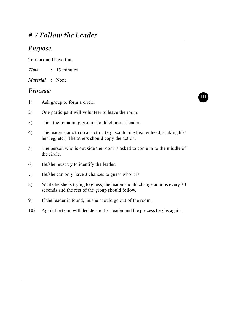# *# 7 Follow the Leader*

### *Purpose:*

To relax and have fun.

*Time :* 15 minutes

*Material :* None

### *Process:*

- 1) Ask group to form a circle.
- 2) One participant will volunteer to leave the room.
- 3) Then the remaining group should choose a leader.
- 4) The leader starts to do an action (e.g. scratching his/her head, shaking his/ her leg, etc.) The others should copy the action.
- 5) The person who is out side the room is asked to come in to the middle of the circle.
- 6) He/she must try to identify the leader.
- 7) He/she can only have 3 chances to guess who it is.
- 8) While he/she is trying to guess, the leader should change actions every 30 seconds and the rest of the group should follow.
- 9) If the leader is found, he/she should go out of the room.
- 10) Again the team will decide another leader and the process begins again.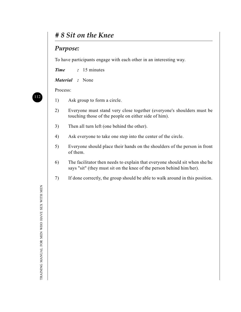## *# 8 Sit on the Knee*

### *Purpose:*

To have participants engage with each other in an interesting way.

*Time :* 15 minutes

*Material :* None

Process:

- 1) Ask group to form a circle.
- 2) Everyone must stand very close together (everyone's shoulders must be touching those of the people on either side of him).
- 3) Then all turn left (one behind the other).
- 4) Ask everyone to take one step into the center of the circle.
- 5) Everyone should place their hands on the shoulders of the person in front of them.
- 6) The facilitator then needs to explain that everyone should sit when she/he says "sit" (they must sit on the knee of the person behind him/her).
- 7) If done correctly, the group should be able to walk around in this position.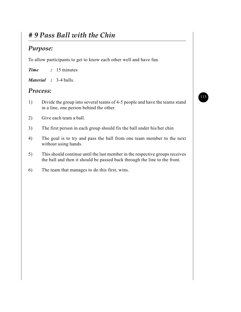# *# 9 Pass Ball with the Chin*

## *Purpose:*

To allow participants to get to know each other well and have fun.

*Time :* 15 minutes

*Material :* 3-4 balls.

### *Process:*

- 1) Divide the group into several teams of 4-5 people and have the teams stand in a line, one person behind the other.
- 2) Give each team a ball.
- 3) The first person in each group should fix the ball under his/her chin
- 4) The goal is to try and pass the ball from one team member to the next without using hands.
- 5) This should continue until the last member in the respective groups receives the ball and then it should be passed back through the line to the front.
- 6) The team that manages to do this first, wins.